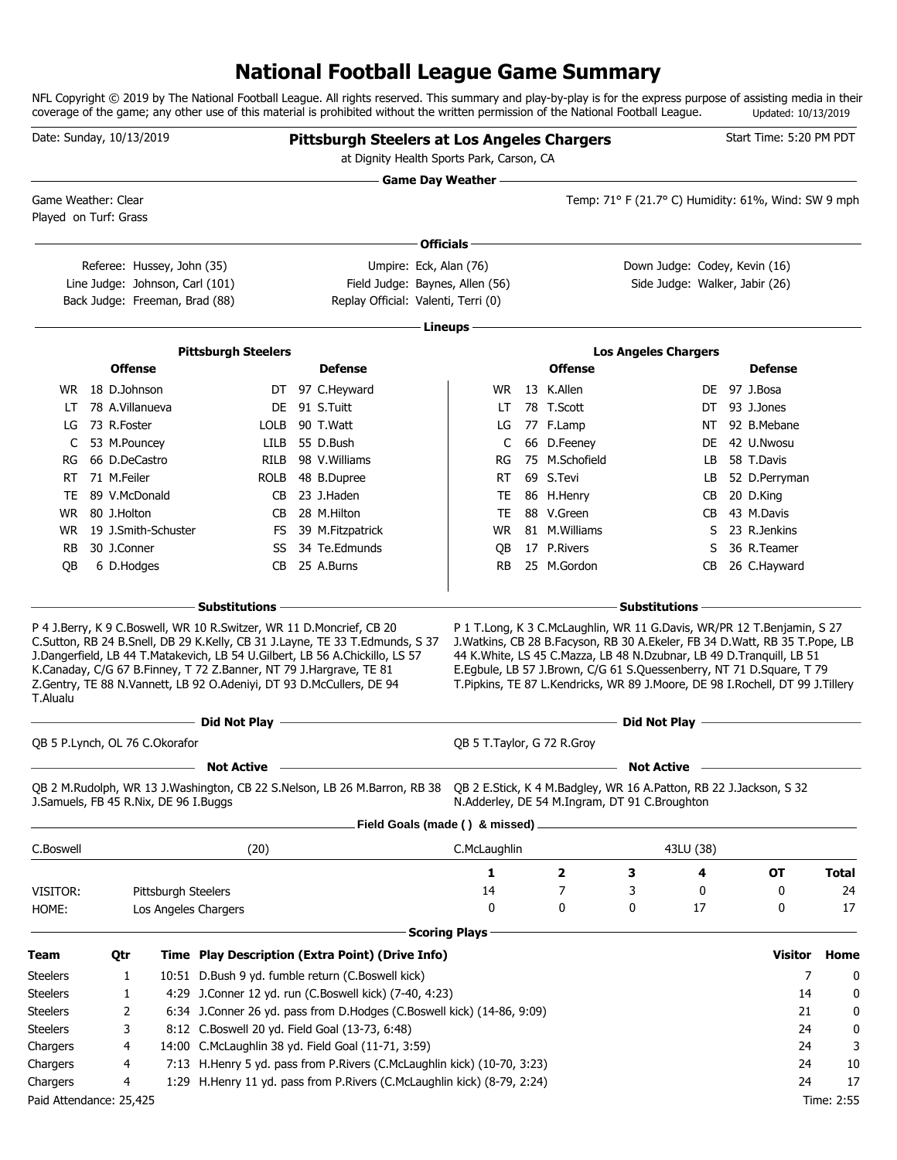# **National Football League Game Summary**

NFL Copyright © 2019 by The National Football League. All rights reserved. This summary and play-by-play is for the express purpose of assisting media in their coverage of the game; any other use of this material is prohibited without the written permission of the National Football League. Updated: 10/13/2019

| - Game Day Weather -<br>Game Weather: Clear<br>Temp: 71° F (21.7° C) Humidity: 61%, Wind: SW 9 mph<br>Played on Turf: Grass<br>Officials -<br>Down Judge: Codey, Kevin (16)<br>Referee: Hussey, John (35)<br>Umpire: Eck, Alan (76)<br>Line Judge: Johnson, Carl (101)<br>Field Judge: Baynes, Allen (56)<br>Side Judge: Walker, Jabir (26)<br>Back Judge: Freeman, Brad (88)<br>Replay Official: Valenti, Terri (0)<br>Lineups -<br><b>Pittsburgh Steelers</b><br><b>Los Angeles Chargers</b><br><b>Offense</b><br><b>Defense</b><br><b>Offense</b><br><b>Defense</b><br>WR 18 D.Johnson<br>13 K.Allen<br>DE 97 J.Bosa<br>DT 97 C.Heyward<br>WR.<br>78 A.Villanueva<br>DE 91 S.Tuitt<br>78 T.Scott<br>93 J.Jones<br>LT<br>LT<br>DT.<br>73 R.Foster<br>90 T.Watt<br>77 F.Lamp<br>92 B.Mebane<br>LOLB<br>LG<br>LG<br>NT<br>53 M.Pouncey<br>55 D.Bush<br>66 D.Feeney<br>42 U.Nwosu<br>LILB<br>C<br>C<br>DE.<br>66 D.DeCastro<br>98 V.Williams<br>75 M.Schofield<br>58 T.Davis<br><b>RILB</b><br>RG<br>RG<br>LB.<br>71 M.Feiler<br>69 S.Tevi<br>52 D.Perryman<br><b>ROLB</b><br>48 B.Dupree<br>RT<br>RT<br>LB.<br>89 V.McDonald<br>23 J.Haden<br>86 H.Henry<br>CB<br>TE<br>20 D.King<br>TE<br>CВ<br>80 J.Holton<br>88 V.Green<br>43 M.Davis<br>WR.<br>CВ<br>28 M.Hilton<br>TE<br>CB.<br>19 J.Smith-Schuster<br>81 M. Williams<br>23 R.Jenkins<br>FS 39 M.Fitzpatrick<br>WR.<br>S<br>WR.<br>30 J.Conner<br>34 Te.Edmunds<br>17 P.Rivers<br>36 R.Teamer<br><b>RB</b><br>SS<br>QB<br>S<br>25 A.Burns<br>25 M.Gordon<br>26 C.Hayward<br>QB<br>6 D.Hodges<br>CB<br>RB.<br>CВ<br>- Substitutions<br><b>Substitutions</b><br>P 4 J.Berry, K 9 C.Boswell, WR 10 R.Switzer, WR 11 D.Moncrief, CB 20<br>P 1 T.Long, K 3 C.McLaughlin, WR 11 G.Davis, WR/PR 12 T.Benjamin, S 27<br>C.Sutton, RB 24 B.Snell, DB 29 K.Kelly, CB 31 J.Layne, TE 33 T.Edmunds, S 37<br>J. Watkins, CB 28 B. Facyson, RB 30 A. Ekeler, FB 34 D. Watt, RB 35 T. Pope, LB<br>J.Dangerfield, LB 44 T.Matakevich, LB 54 U.Gilbert, LB 56 A.Chickillo, LS 57<br>44 K. White, LS 45 C. Mazza, LB 48 N. Dzubnar, LB 49 D. Tranquill, LB 51<br>K.Canaday, C/G 67 B.Finney, T 72 Z.Banner, NT 79 J.Hargrave, TE 81<br>E.Egbule, LB 57 J.Brown, C/G 61 S.Quessenberry, NT 71 D.Square, T 79<br>Z.Gentry, TE 88 N.Vannett, LB 92 O.Adeniyi, DT 93 D.McCullers, DE 94<br>T.Pipkins, TE 87 L.Kendricks, WR 89 J.Moore, DE 98 I.Rochell, DT 99 J.Tillery<br><u> 1980 - Johann Barn, amerikansk politiker (d. 1980)</u><br>Did Not Play -<br>Did Not Play -<br>QB 5 P.Lynch, OL 76 C.Okorafor<br>QB 5 T.Taylor, G 72 R.Groy<br><b>Not Active</b><br><b>Not Active</b><br>QB 2 M.Rudolph, WR 13 J.Washington, CB 22 S.Nelson, LB 26 M.Barron, RB 38 QB 2 E.Stick, K 4 M.Badgley, WR 16 A.Patton, RB 22 J.Jackson, S 32<br>J.Samuels, FB 45 R.Nix, DE 96 I.Buggs<br>N.Adderley, DE 54 M.Ingram, DT 91 C.Broughton<br>Field Goals (made () & missed) .<br>(20)<br>C.McLaughlin<br>43LU (38)<br>1<br>$\overline{\mathbf{2}}$<br>З<br>4<br><b>OT</b><br><b>Total</b><br>3<br>14<br>7<br>0<br>0<br>24<br>Pittsburgh Steelers<br>0<br>0<br>0<br>17<br>0<br>17<br>Los Angeles Chargers<br><b>Scoring Plays</b><br><b>Visitor</b><br>Team<br>Time Play Description (Extra Point) (Drive Info)<br>Home<br>Qtr<br>7<br>10:51 D.Bush 9 yd. fumble return (C.Boswell kick)<br>0<br><b>Steelers</b><br>1<br>4:29 J.Conner 12 yd. run (C.Boswell kick) (7-40, 4:23)<br>14<br><b>Steelers</b><br>1<br>0<br>6:34 J.Conner 26 yd. pass from D.Hodges (C.Boswell kick) (14-86, 9:09)<br><b>Steelers</b><br>2<br>21<br>0<br>8:12 C.Boswell 20 yd. Field Goal (13-73, 6:48)<br><b>Steelers</b><br>3<br>24<br>0<br>14:00 C.McLaughlin 38 yd. Field Goal (11-71, 3:59)<br>4<br>24<br>Chargers<br>3<br>7:13 H.Henry 5 yd. pass from P.Rivers (C.McLaughlin kick) (10-70, 3:23)<br>4<br>24<br>10<br>Chargers<br>1:29 H.Henry 11 yd. pass from P.Rivers (C.McLaughlin kick) (8-79, 2:24)<br>24<br>4<br>17<br>Chargers<br>Paid Attendance: 25,425<br>Time: 2:55 | Date: Sunday, 10/13/2019 |  |  | <b>Pittsburgh Steelers at Los Angeles Chargers</b><br>at Dignity Health Sports Park, Carson, CA |  |  | Start Time: 5:20 PM PDT |  |
|------------------------------------------------------------------------------------------------------------------------------------------------------------------------------------------------------------------------------------------------------------------------------------------------------------------------------------------------------------------------------------------------------------------------------------------------------------------------------------------------------------------------------------------------------------------------------------------------------------------------------------------------------------------------------------------------------------------------------------------------------------------------------------------------------------------------------------------------------------------------------------------------------------------------------------------------------------------------------------------------------------------------------------------------------------------------------------------------------------------------------------------------------------------------------------------------------------------------------------------------------------------------------------------------------------------------------------------------------------------------------------------------------------------------------------------------------------------------------------------------------------------------------------------------------------------------------------------------------------------------------------------------------------------------------------------------------------------------------------------------------------------------------------------------------------------------------------------------------------------------------------------------------------------------------------------------------------------------------------------------------------------------------------------------------------------------------------------------------------------------------------------------------------------------------------------------------------------------------------------------------------------------------------------------------------------------------------------------------------------------------------------------------------------------------------------------------------------------------------------------------------------------------------------------------------------------------------------------------------------------------------------------------------------------------------------------------------------------------------------------------------------------------------------------------------------------------------------------------------------------------------------------------------------------------------------------------------------------------------------------------------------------------------------------------------------------------------------------------------------------------------------------------------------------------------------------------------------------------------------------------------------------------------------------------------------------------------------------------------------------------------------------------------------------------------------------------------------------------------------------------------------------------------------------------------------------------------------------------------------------------------------------------------------------------------------------------------------------------------------------------------------------------------------------------------------------------------------------------------------------------------------------------------------------------------------------------------------------------------|--------------------------|--|--|-------------------------------------------------------------------------------------------------|--|--|-------------------------|--|
|                                                                                                                                                                                                                                                                                                                                                                                                                                                                                                                                                                                                                                                                                                                                                                                                                                                                                                                                                                                                                                                                                                                                                                                                                                                                                                                                                                                                                                                                                                                                                                                                                                                                                                                                                                                                                                                                                                                                                                                                                                                                                                                                                                                                                                                                                                                                                                                                                                                                                                                                                                                                                                                                                                                                                                                                                                                                                                                                                                                                                                                                                                                                                                                                                                                                                                                                                                                                                                                                                                                                                                                                                                                                                                                                                                                                                                                                                                                                                                                    |                          |  |  |                                                                                                 |  |  |                         |  |
|                                                                                                                                                                                                                                                                                                                                                                                                                                                                                                                                                                                                                                                                                                                                                                                                                                                                                                                                                                                                                                                                                                                                                                                                                                                                                                                                                                                                                                                                                                                                                                                                                                                                                                                                                                                                                                                                                                                                                                                                                                                                                                                                                                                                                                                                                                                                                                                                                                                                                                                                                                                                                                                                                                                                                                                                                                                                                                                                                                                                                                                                                                                                                                                                                                                                                                                                                                                                                                                                                                                                                                                                                                                                                                                                                                                                                                                                                                                                                                                    |                          |  |  |                                                                                                 |  |  |                         |  |
|                                                                                                                                                                                                                                                                                                                                                                                                                                                                                                                                                                                                                                                                                                                                                                                                                                                                                                                                                                                                                                                                                                                                                                                                                                                                                                                                                                                                                                                                                                                                                                                                                                                                                                                                                                                                                                                                                                                                                                                                                                                                                                                                                                                                                                                                                                                                                                                                                                                                                                                                                                                                                                                                                                                                                                                                                                                                                                                                                                                                                                                                                                                                                                                                                                                                                                                                                                                                                                                                                                                                                                                                                                                                                                                                                                                                                                                                                                                                                                                    |                          |  |  |                                                                                                 |  |  |                         |  |
|                                                                                                                                                                                                                                                                                                                                                                                                                                                                                                                                                                                                                                                                                                                                                                                                                                                                                                                                                                                                                                                                                                                                                                                                                                                                                                                                                                                                                                                                                                                                                                                                                                                                                                                                                                                                                                                                                                                                                                                                                                                                                                                                                                                                                                                                                                                                                                                                                                                                                                                                                                                                                                                                                                                                                                                                                                                                                                                                                                                                                                                                                                                                                                                                                                                                                                                                                                                                                                                                                                                                                                                                                                                                                                                                                                                                                                                                                                                                                                                    |                          |  |  |                                                                                                 |  |  |                         |  |
|                                                                                                                                                                                                                                                                                                                                                                                                                                                                                                                                                                                                                                                                                                                                                                                                                                                                                                                                                                                                                                                                                                                                                                                                                                                                                                                                                                                                                                                                                                                                                                                                                                                                                                                                                                                                                                                                                                                                                                                                                                                                                                                                                                                                                                                                                                                                                                                                                                                                                                                                                                                                                                                                                                                                                                                                                                                                                                                                                                                                                                                                                                                                                                                                                                                                                                                                                                                                                                                                                                                                                                                                                                                                                                                                                                                                                                                                                                                                                                                    |                          |  |  |                                                                                                 |  |  |                         |  |
|                                                                                                                                                                                                                                                                                                                                                                                                                                                                                                                                                                                                                                                                                                                                                                                                                                                                                                                                                                                                                                                                                                                                                                                                                                                                                                                                                                                                                                                                                                                                                                                                                                                                                                                                                                                                                                                                                                                                                                                                                                                                                                                                                                                                                                                                                                                                                                                                                                                                                                                                                                                                                                                                                                                                                                                                                                                                                                                                                                                                                                                                                                                                                                                                                                                                                                                                                                                                                                                                                                                                                                                                                                                                                                                                                                                                                                                                                                                                                                                    |                          |  |  |                                                                                                 |  |  |                         |  |
|                                                                                                                                                                                                                                                                                                                                                                                                                                                                                                                                                                                                                                                                                                                                                                                                                                                                                                                                                                                                                                                                                                                                                                                                                                                                                                                                                                                                                                                                                                                                                                                                                                                                                                                                                                                                                                                                                                                                                                                                                                                                                                                                                                                                                                                                                                                                                                                                                                                                                                                                                                                                                                                                                                                                                                                                                                                                                                                                                                                                                                                                                                                                                                                                                                                                                                                                                                                                                                                                                                                                                                                                                                                                                                                                                                                                                                                                                                                                                                                    |                          |  |  |                                                                                                 |  |  |                         |  |
|                                                                                                                                                                                                                                                                                                                                                                                                                                                                                                                                                                                                                                                                                                                                                                                                                                                                                                                                                                                                                                                                                                                                                                                                                                                                                                                                                                                                                                                                                                                                                                                                                                                                                                                                                                                                                                                                                                                                                                                                                                                                                                                                                                                                                                                                                                                                                                                                                                                                                                                                                                                                                                                                                                                                                                                                                                                                                                                                                                                                                                                                                                                                                                                                                                                                                                                                                                                                                                                                                                                                                                                                                                                                                                                                                                                                                                                                                                                                                                                    |                          |  |  |                                                                                                 |  |  |                         |  |
|                                                                                                                                                                                                                                                                                                                                                                                                                                                                                                                                                                                                                                                                                                                                                                                                                                                                                                                                                                                                                                                                                                                                                                                                                                                                                                                                                                                                                                                                                                                                                                                                                                                                                                                                                                                                                                                                                                                                                                                                                                                                                                                                                                                                                                                                                                                                                                                                                                                                                                                                                                                                                                                                                                                                                                                                                                                                                                                                                                                                                                                                                                                                                                                                                                                                                                                                                                                                                                                                                                                                                                                                                                                                                                                                                                                                                                                                                                                                                                                    |                          |  |  |                                                                                                 |  |  |                         |  |
|                                                                                                                                                                                                                                                                                                                                                                                                                                                                                                                                                                                                                                                                                                                                                                                                                                                                                                                                                                                                                                                                                                                                                                                                                                                                                                                                                                                                                                                                                                                                                                                                                                                                                                                                                                                                                                                                                                                                                                                                                                                                                                                                                                                                                                                                                                                                                                                                                                                                                                                                                                                                                                                                                                                                                                                                                                                                                                                                                                                                                                                                                                                                                                                                                                                                                                                                                                                                                                                                                                                                                                                                                                                                                                                                                                                                                                                                                                                                                                                    |                          |  |  |                                                                                                 |  |  |                         |  |
|                                                                                                                                                                                                                                                                                                                                                                                                                                                                                                                                                                                                                                                                                                                                                                                                                                                                                                                                                                                                                                                                                                                                                                                                                                                                                                                                                                                                                                                                                                                                                                                                                                                                                                                                                                                                                                                                                                                                                                                                                                                                                                                                                                                                                                                                                                                                                                                                                                                                                                                                                                                                                                                                                                                                                                                                                                                                                                                                                                                                                                                                                                                                                                                                                                                                                                                                                                                                                                                                                                                                                                                                                                                                                                                                                                                                                                                                                                                                                                                    |                          |  |  |                                                                                                 |  |  |                         |  |
|                                                                                                                                                                                                                                                                                                                                                                                                                                                                                                                                                                                                                                                                                                                                                                                                                                                                                                                                                                                                                                                                                                                                                                                                                                                                                                                                                                                                                                                                                                                                                                                                                                                                                                                                                                                                                                                                                                                                                                                                                                                                                                                                                                                                                                                                                                                                                                                                                                                                                                                                                                                                                                                                                                                                                                                                                                                                                                                                                                                                                                                                                                                                                                                                                                                                                                                                                                                                                                                                                                                                                                                                                                                                                                                                                                                                                                                                                                                                                                                    |                          |  |  |                                                                                                 |  |  |                         |  |
|                                                                                                                                                                                                                                                                                                                                                                                                                                                                                                                                                                                                                                                                                                                                                                                                                                                                                                                                                                                                                                                                                                                                                                                                                                                                                                                                                                                                                                                                                                                                                                                                                                                                                                                                                                                                                                                                                                                                                                                                                                                                                                                                                                                                                                                                                                                                                                                                                                                                                                                                                                                                                                                                                                                                                                                                                                                                                                                                                                                                                                                                                                                                                                                                                                                                                                                                                                                                                                                                                                                                                                                                                                                                                                                                                                                                                                                                                                                                                                                    |                          |  |  |                                                                                                 |  |  |                         |  |
|                                                                                                                                                                                                                                                                                                                                                                                                                                                                                                                                                                                                                                                                                                                                                                                                                                                                                                                                                                                                                                                                                                                                                                                                                                                                                                                                                                                                                                                                                                                                                                                                                                                                                                                                                                                                                                                                                                                                                                                                                                                                                                                                                                                                                                                                                                                                                                                                                                                                                                                                                                                                                                                                                                                                                                                                                                                                                                                                                                                                                                                                                                                                                                                                                                                                                                                                                                                                                                                                                                                                                                                                                                                                                                                                                                                                                                                                                                                                                                                    |                          |  |  |                                                                                                 |  |  |                         |  |
|                                                                                                                                                                                                                                                                                                                                                                                                                                                                                                                                                                                                                                                                                                                                                                                                                                                                                                                                                                                                                                                                                                                                                                                                                                                                                                                                                                                                                                                                                                                                                                                                                                                                                                                                                                                                                                                                                                                                                                                                                                                                                                                                                                                                                                                                                                                                                                                                                                                                                                                                                                                                                                                                                                                                                                                                                                                                                                                                                                                                                                                                                                                                                                                                                                                                                                                                                                                                                                                                                                                                                                                                                                                                                                                                                                                                                                                                                                                                                                                    |                          |  |  |                                                                                                 |  |  |                         |  |
|                                                                                                                                                                                                                                                                                                                                                                                                                                                                                                                                                                                                                                                                                                                                                                                                                                                                                                                                                                                                                                                                                                                                                                                                                                                                                                                                                                                                                                                                                                                                                                                                                                                                                                                                                                                                                                                                                                                                                                                                                                                                                                                                                                                                                                                                                                                                                                                                                                                                                                                                                                                                                                                                                                                                                                                                                                                                                                                                                                                                                                                                                                                                                                                                                                                                                                                                                                                                                                                                                                                                                                                                                                                                                                                                                                                                                                                                                                                                                                                    |                          |  |  |                                                                                                 |  |  |                         |  |
|                                                                                                                                                                                                                                                                                                                                                                                                                                                                                                                                                                                                                                                                                                                                                                                                                                                                                                                                                                                                                                                                                                                                                                                                                                                                                                                                                                                                                                                                                                                                                                                                                                                                                                                                                                                                                                                                                                                                                                                                                                                                                                                                                                                                                                                                                                                                                                                                                                                                                                                                                                                                                                                                                                                                                                                                                                                                                                                                                                                                                                                                                                                                                                                                                                                                                                                                                                                                                                                                                                                                                                                                                                                                                                                                                                                                                                                                                                                                                                                    |                          |  |  |                                                                                                 |  |  |                         |  |
|                                                                                                                                                                                                                                                                                                                                                                                                                                                                                                                                                                                                                                                                                                                                                                                                                                                                                                                                                                                                                                                                                                                                                                                                                                                                                                                                                                                                                                                                                                                                                                                                                                                                                                                                                                                                                                                                                                                                                                                                                                                                                                                                                                                                                                                                                                                                                                                                                                                                                                                                                                                                                                                                                                                                                                                                                                                                                                                                                                                                                                                                                                                                                                                                                                                                                                                                                                                                                                                                                                                                                                                                                                                                                                                                                                                                                                                                                                                                                                                    |                          |  |  |                                                                                                 |  |  |                         |  |
|                                                                                                                                                                                                                                                                                                                                                                                                                                                                                                                                                                                                                                                                                                                                                                                                                                                                                                                                                                                                                                                                                                                                                                                                                                                                                                                                                                                                                                                                                                                                                                                                                                                                                                                                                                                                                                                                                                                                                                                                                                                                                                                                                                                                                                                                                                                                                                                                                                                                                                                                                                                                                                                                                                                                                                                                                                                                                                                                                                                                                                                                                                                                                                                                                                                                                                                                                                                                                                                                                                                                                                                                                                                                                                                                                                                                                                                                                                                                                                                    |                          |  |  |                                                                                                 |  |  |                         |  |
|                                                                                                                                                                                                                                                                                                                                                                                                                                                                                                                                                                                                                                                                                                                                                                                                                                                                                                                                                                                                                                                                                                                                                                                                                                                                                                                                                                                                                                                                                                                                                                                                                                                                                                                                                                                                                                                                                                                                                                                                                                                                                                                                                                                                                                                                                                                                                                                                                                                                                                                                                                                                                                                                                                                                                                                                                                                                                                                                                                                                                                                                                                                                                                                                                                                                                                                                                                                                                                                                                                                                                                                                                                                                                                                                                                                                                                                                                                                                                                                    | T.Alualu                 |  |  |                                                                                                 |  |  |                         |  |
|                                                                                                                                                                                                                                                                                                                                                                                                                                                                                                                                                                                                                                                                                                                                                                                                                                                                                                                                                                                                                                                                                                                                                                                                                                                                                                                                                                                                                                                                                                                                                                                                                                                                                                                                                                                                                                                                                                                                                                                                                                                                                                                                                                                                                                                                                                                                                                                                                                                                                                                                                                                                                                                                                                                                                                                                                                                                                                                                                                                                                                                                                                                                                                                                                                                                                                                                                                                                                                                                                                                                                                                                                                                                                                                                                                                                                                                                                                                                                                                    |                          |  |  |                                                                                                 |  |  |                         |  |
|                                                                                                                                                                                                                                                                                                                                                                                                                                                                                                                                                                                                                                                                                                                                                                                                                                                                                                                                                                                                                                                                                                                                                                                                                                                                                                                                                                                                                                                                                                                                                                                                                                                                                                                                                                                                                                                                                                                                                                                                                                                                                                                                                                                                                                                                                                                                                                                                                                                                                                                                                                                                                                                                                                                                                                                                                                                                                                                                                                                                                                                                                                                                                                                                                                                                                                                                                                                                                                                                                                                                                                                                                                                                                                                                                                                                                                                                                                                                                                                    |                          |  |  |                                                                                                 |  |  |                         |  |
|                                                                                                                                                                                                                                                                                                                                                                                                                                                                                                                                                                                                                                                                                                                                                                                                                                                                                                                                                                                                                                                                                                                                                                                                                                                                                                                                                                                                                                                                                                                                                                                                                                                                                                                                                                                                                                                                                                                                                                                                                                                                                                                                                                                                                                                                                                                                                                                                                                                                                                                                                                                                                                                                                                                                                                                                                                                                                                                                                                                                                                                                                                                                                                                                                                                                                                                                                                                                                                                                                                                                                                                                                                                                                                                                                                                                                                                                                                                                                                                    |                          |  |  |                                                                                                 |  |  |                         |  |
|                                                                                                                                                                                                                                                                                                                                                                                                                                                                                                                                                                                                                                                                                                                                                                                                                                                                                                                                                                                                                                                                                                                                                                                                                                                                                                                                                                                                                                                                                                                                                                                                                                                                                                                                                                                                                                                                                                                                                                                                                                                                                                                                                                                                                                                                                                                                                                                                                                                                                                                                                                                                                                                                                                                                                                                                                                                                                                                                                                                                                                                                                                                                                                                                                                                                                                                                                                                                                                                                                                                                                                                                                                                                                                                                                                                                                                                                                                                                                                                    |                          |  |  |                                                                                                 |  |  |                         |  |
|                                                                                                                                                                                                                                                                                                                                                                                                                                                                                                                                                                                                                                                                                                                                                                                                                                                                                                                                                                                                                                                                                                                                                                                                                                                                                                                                                                                                                                                                                                                                                                                                                                                                                                                                                                                                                                                                                                                                                                                                                                                                                                                                                                                                                                                                                                                                                                                                                                                                                                                                                                                                                                                                                                                                                                                                                                                                                                                                                                                                                                                                                                                                                                                                                                                                                                                                                                                                                                                                                                                                                                                                                                                                                                                                                                                                                                                                                                                                                                                    |                          |  |  |                                                                                                 |  |  |                         |  |
|                                                                                                                                                                                                                                                                                                                                                                                                                                                                                                                                                                                                                                                                                                                                                                                                                                                                                                                                                                                                                                                                                                                                                                                                                                                                                                                                                                                                                                                                                                                                                                                                                                                                                                                                                                                                                                                                                                                                                                                                                                                                                                                                                                                                                                                                                                                                                                                                                                                                                                                                                                                                                                                                                                                                                                                                                                                                                                                                                                                                                                                                                                                                                                                                                                                                                                                                                                                                                                                                                                                                                                                                                                                                                                                                                                                                                                                                                                                                                                                    | C.Boswell                |  |  |                                                                                                 |  |  |                         |  |
|                                                                                                                                                                                                                                                                                                                                                                                                                                                                                                                                                                                                                                                                                                                                                                                                                                                                                                                                                                                                                                                                                                                                                                                                                                                                                                                                                                                                                                                                                                                                                                                                                                                                                                                                                                                                                                                                                                                                                                                                                                                                                                                                                                                                                                                                                                                                                                                                                                                                                                                                                                                                                                                                                                                                                                                                                                                                                                                                                                                                                                                                                                                                                                                                                                                                                                                                                                                                                                                                                                                                                                                                                                                                                                                                                                                                                                                                                                                                                                                    |                          |  |  |                                                                                                 |  |  |                         |  |
|                                                                                                                                                                                                                                                                                                                                                                                                                                                                                                                                                                                                                                                                                                                                                                                                                                                                                                                                                                                                                                                                                                                                                                                                                                                                                                                                                                                                                                                                                                                                                                                                                                                                                                                                                                                                                                                                                                                                                                                                                                                                                                                                                                                                                                                                                                                                                                                                                                                                                                                                                                                                                                                                                                                                                                                                                                                                                                                                                                                                                                                                                                                                                                                                                                                                                                                                                                                                                                                                                                                                                                                                                                                                                                                                                                                                                                                                                                                                                                                    | VISITOR:                 |  |  |                                                                                                 |  |  |                         |  |
|                                                                                                                                                                                                                                                                                                                                                                                                                                                                                                                                                                                                                                                                                                                                                                                                                                                                                                                                                                                                                                                                                                                                                                                                                                                                                                                                                                                                                                                                                                                                                                                                                                                                                                                                                                                                                                                                                                                                                                                                                                                                                                                                                                                                                                                                                                                                                                                                                                                                                                                                                                                                                                                                                                                                                                                                                                                                                                                                                                                                                                                                                                                                                                                                                                                                                                                                                                                                                                                                                                                                                                                                                                                                                                                                                                                                                                                                                                                                                                                    | HOME:                    |  |  |                                                                                                 |  |  |                         |  |
|                                                                                                                                                                                                                                                                                                                                                                                                                                                                                                                                                                                                                                                                                                                                                                                                                                                                                                                                                                                                                                                                                                                                                                                                                                                                                                                                                                                                                                                                                                                                                                                                                                                                                                                                                                                                                                                                                                                                                                                                                                                                                                                                                                                                                                                                                                                                                                                                                                                                                                                                                                                                                                                                                                                                                                                                                                                                                                                                                                                                                                                                                                                                                                                                                                                                                                                                                                                                                                                                                                                                                                                                                                                                                                                                                                                                                                                                                                                                                                                    |                          |  |  |                                                                                                 |  |  |                         |  |
|                                                                                                                                                                                                                                                                                                                                                                                                                                                                                                                                                                                                                                                                                                                                                                                                                                                                                                                                                                                                                                                                                                                                                                                                                                                                                                                                                                                                                                                                                                                                                                                                                                                                                                                                                                                                                                                                                                                                                                                                                                                                                                                                                                                                                                                                                                                                                                                                                                                                                                                                                                                                                                                                                                                                                                                                                                                                                                                                                                                                                                                                                                                                                                                                                                                                                                                                                                                                                                                                                                                                                                                                                                                                                                                                                                                                                                                                                                                                                                                    |                          |  |  |                                                                                                 |  |  |                         |  |
|                                                                                                                                                                                                                                                                                                                                                                                                                                                                                                                                                                                                                                                                                                                                                                                                                                                                                                                                                                                                                                                                                                                                                                                                                                                                                                                                                                                                                                                                                                                                                                                                                                                                                                                                                                                                                                                                                                                                                                                                                                                                                                                                                                                                                                                                                                                                                                                                                                                                                                                                                                                                                                                                                                                                                                                                                                                                                                                                                                                                                                                                                                                                                                                                                                                                                                                                                                                                                                                                                                                                                                                                                                                                                                                                                                                                                                                                                                                                                                                    |                          |  |  |                                                                                                 |  |  |                         |  |
|                                                                                                                                                                                                                                                                                                                                                                                                                                                                                                                                                                                                                                                                                                                                                                                                                                                                                                                                                                                                                                                                                                                                                                                                                                                                                                                                                                                                                                                                                                                                                                                                                                                                                                                                                                                                                                                                                                                                                                                                                                                                                                                                                                                                                                                                                                                                                                                                                                                                                                                                                                                                                                                                                                                                                                                                                                                                                                                                                                                                                                                                                                                                                                                                                                                                                                                                                                                                                                                                                                                                                                                                                                                                                                                                                                                                                                                                                                                                                                                    |                          |  |  |                                                                                                 |  |  |                         |  |
|                                                                                                                                                                                                                                                                                                                                                                                                                                                                                                                                                                                                                                                                                                                                                                                                                                                                                                                                                                                                                                                                                                                                                                                                                                                                                                                                                                                                                                                                                                                                                                                                                                                                                                                                                                                                                                                                                                                                                                                                                                                                                                                                                                                                                                                                                                                                                                                                                                                                                                                                                                                                                                                                                                                                                                                                                                                                                                                                                                                                                                                                                                                                                                                                                                                                                                                                                                                                                                                                                                                                                                                                                                                                                                                                                                                                                                                                                                                                                                                    |                          |  |  |                                                                                                 |  |  |                         |  |
|                                                                                                                                                                                                                                                                                                                                                                                                                                                                                                                                                                                                                                                                                                                                                                                                                                                                                                                                                                                                                                                                                                                                                                                                                                                                                                                                                                                                                                                                                                                                                                                                                                                                                                                                                                                                                                                                                                                                                                                                                                                                                                                                                                                                                                                                                                                                                                                                                                                                                                                                                                                                                                                                                                                                                                                                                                                                                                                                                                                                                                                                                                                                                                                                                                                                                                                                                                                                                                                                                                                                                                                                                                                                                                                                                                                                                                                                                                                                                                                    |                          |  |  |                                                                                                 |  |  |                         |  |
|                                                                                                                                                                                                                                                                                                                                                                                                                                                                                                                                                                                                                                                                                                                                                                                                                                                                                                                                                                                                                                                                                                                                                                                                                                                                                                                                                                                                                                                                                                                                                                                                                                                                                                                                                                                                                                                                                                                                                                                                                                                                                                                                                                                                                                                                                                                                                                                                                                                                                                                                                                                                                                                                                                                                                                                                                                                                                                                                                                                                                                                                                                                                                                                                                                                                                                                                                                                                                                                                                                                                                                                                                                                                                                                                                                                                                                                                                                                                                                                    |                          |  |  |                                                                                                 |  |  |                         |  |
|                                                                                                                                                                                                                                                                                                                                                                                                                                                                                                                                                                                                                                                                                                                                                                                                                                                                                                                                                                                                                                                                                                                                                                                                                                                                                                                                                                                                                                                                                                                                                                                                                                                                                                                                                                                                                                                                                                                                                                                                                                                                                                                                                                                                                                                                                                                                                                                                                                                                                                                                                                                                                                                                                                                                                                                                                                                                                                                                                                                                                                                                                                                                                                                                                                                                                                                                                                                                                                                                                                                                                                                                                                                                                                                                                                                                                                                                                                                                                                                    |                          |  |  |                                                                                                 |  |  |                         |  |
|                                                                                                                                                                                                                                                                                                                                                                                                                                                                                                                                                                                                                                                                                                                                                                                                                                                                                                                                                                                                                                                                                                                                                                                                                                                                                                                                                                                                                                                                                                                                                                                                                                                                                                                                                                                                                                                                                                                                                                                                                                                                                                                                                                                                                                                                                                                                                                                                                                                                                                                                                                                                                                                                                                                                                                                                                                                                                                                                                                                                                                                                                                                                                                                                                                                                                                                                                                                                                                                                                                                                                                                                                                                                                                                                                                                                                                                                                                                                                                                    |                          |  |  |                                                                                                 |  |  |                         |  |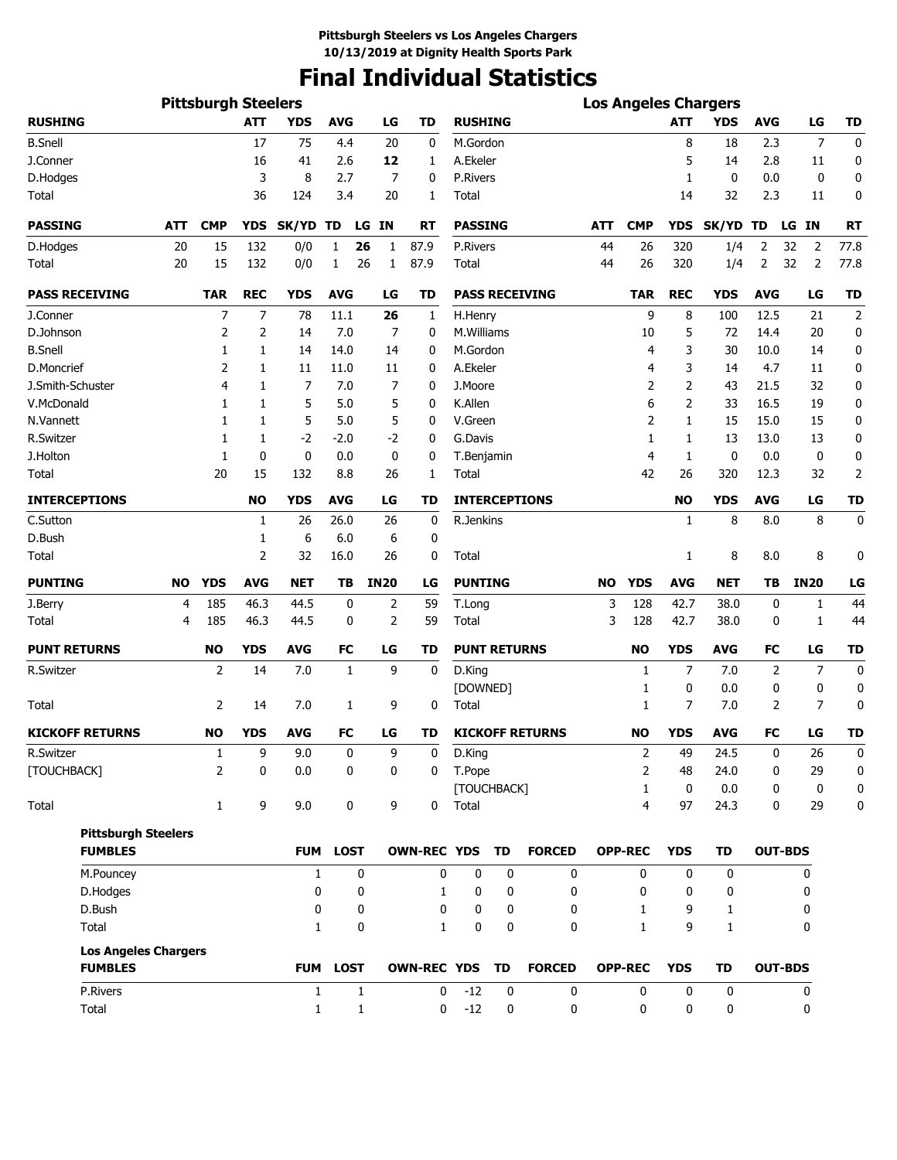# **Final Individual Statistics**

|                                               |            | <b>Pittsburgh Steelers</b> |            |                   |              |              |                    |                |                     |                        |            |                |                | <b>Los Angeles Chargers</b> |            |                      |                |
|-----------------------------------------------|------------|----------------------------|------------|-------------------|--------------|--------------|--------------------|----------------|---------------------|------------------------|------------|----------------|----------------|-----------------------------|------------|----------------------|----------------|
| <b>RUSHING</b>                                |            |                            | <b>ATT</b> | <b>YDS</b>        | <b>AVG</b>   | LG           | TD                 | <b>RUSHING</b> |                     |                        |            |                | <b>ATT</b>     | <b>YDS</b>                  | <b>AVG</b> | LG                   | TD             |
| <b>B.Snell</b>                                |            |                            | 17         | 75                | 4.4          | 20           | 0                  | M.Gordon       |                     |                        |            |                | 8              | 18                          | 2.3        | 7                    | 0              |
| J.Conner                                      |            |                            | 16         | 41                | 2.6          | 12           | 1                  | A.Ekeler       |                     |                        |            |                | 5              | 14                          | 2.8        | 11                   | 0              |
| D.Hodges                                      |            |                            | 3          | 8                 | 2.7          |              | 7<br>0             | P.Rivers       |                     |                        |            |                | 1              | 0                           | 0.0        | 0                    | 0              |
| Total                                         |            |                            | 36         | 124               | 3.4          | 20           | 1                  | Total          |                     |                        |            |                | 14             | 32                          | 2.3        | 11                   | 0              |
| <b>PASSING</b>                                | <b>ATT</b> | <b>CMP</b>                 | <b>YDS</b> | SK/YD TD          |              | LG<br>ΙN     | RT                 | <b>PASSING</b> |                     |                        | <b>ATT</b> | <b>CMP</b>     | <b>YDS</b>     | SK/YD TD                    |            | <b>IN</b><br>LG      | <b>RT</b>      |
| D.Hodges                                      | 20         | 15                         | 132        | 0/0               | 1            | 26<br>1      | 87.9               | P.Rivers       |                     |                        | 44         | 26             | 320            | 1/4                         | 2          | 32<br>$\overline{2}$ | 77.8           |
| Total                                         | 20         | 15                         | 132        | 0/0               | 1            | 26<br>1      | 87.9               | Total          |                     |                        | 44         | 26             | 320            | 1/4                         | 2          | 32<br>2              | 77.8           |
| <b>PASS RECEIVING</b>                         |            | <b>TAR</b>                 | <b>REC</b> | <b>YDS</b>        | <b>AVG</b>   | LG           | TD                 |                |                     | <b>PASS RECEIVING</b>  |            | <b>TAR</b>     | <b>REC</b>     | <b>YDS</b>                  | <b>AVG</b> | LG                   | <b>TD</b>      |
| J.Conner                                      |            | 7                          | 7          | 78                | 11.1         | 26           | 1                  | H.Henry        |                     |                        |            | 9              | 8              | 100                         | 12.5       | 21                   | $\overline{2}$ |
| D.Johnson                                     |            | 2                          | 2          | 14                | 7.0          |              | 7<br>0             | M.Williams     |                     |                        |            | 10             | 5              | 72                          | 14.4       | 20                   | 0              |
| <b>B.Snell</b>                                |            | 1                          | 1          | 14                | 14.0         | 14           | 0                  | M.Gordon       |                     |                        |            | 4              | 3              | 30                          | 10.0       | 14                   | 0              |
| D.Moncrief                                    |            | $\overline{2}$             | 1          | 11                | 11.0         | 11           | 0                  | A.Ekeler       |                     |                        |            | 4              | 3              | 14                          | 4.7        | 11                   | 0              |
| J.Smith-Schuster                              |            | 4                          | 1          | 7                 | 7.0          |              | 7<br>0             | J.Moore        |                     |                        |            | 2              | 2              | 43                          | 21.5       | 32                   | 0              |
| V.McDonald                                    |            | 1                          | 1          | 5                 | 5.0          |              | 5<br>0             | K.Allen        |                     |                        |            | 6              | 2              | 33                          | 16.5       | 19                   | 0              |
| N.Vannett                                     |            | 1                          | 1          | 5                 | 5.0          |              | 5<br>0             | V.Green        |                     |                        |            | 2              | 1              | 15                          | 15.0       | 15                   | 0              |
| R.Switzer                                     |            | 1                          | 1          | $-2$              | $-2.0$       | $-2$         | 0                  | G.Davis        |                     |                        |            | 1              | 1              | 13                          | 13.0       | 13                   | 0              |
| J.Holton                                      |            | 1                          | 0          | 0                 | 0.0          |              | 0<br>0             | T.Benjamin     |                     |                        |            | $\overline{4}$ | 1              | 0                           | 0.0        | 0                    | 0              |
| Total                                         |            | 20                         | 15         | 132               | 8.8          | 26           | 1                  | Total          |                     |                        |            | 42             | 26             | 320                         | 12.3       | 32                   | $\overline{2}$ |
| <b>INTERCEPTIONS</b>                          |            |                            | <b>NO</b>  | <b>YDS</b>        | <b>AVG</b>   | LG           | TD                 |                |                     | <b>INTERCEPTIONS</b>   |            |                | NO             | YDS                         | <b>AVG</b> | LG                   | <b>TD</b>      |
| C.Sutton                                      |            |                            | 1          | 26                | 26.0         | 26           | 0                  | R.Jenkins      |                     |                        |            |                | $\mathbf{1}$   | 8                           | 8.0        | 8                    | 0              |
| D.Bush                                        |            |                            | 1          | 6                 | 6.0          | 6            | 0                  |                |                     |                        |            |                |                |                             |            |                      |                |
| Total                                         |            |                            | 2          | 32                | 16.0         | 26           | 0                  | Total          |                     |                        |            |                | 1              | 8                           | 8.0        | 8                    | 0              |
| <b>PUNTING</b>                                | NO         | <b>YDS</b>                 | <b>AVG</b> | <b>NET</b>        | TВ           | <b>IN20</b>  | LG                 | <b>PUNTING</b> |                     |                        | NO         | <b>YDS</b>     | <b>AVG</b>     | NET                         | TΒ         | <b>IN20</b>          | LG             |
| J.Berry                                       | 4          | 185                        | 46.3       | 44.5              | 0            | 2            | 59                 | T.Long         |                     |                        | 3          | 128            | 42.7           | 38.0                        | 0          | 1                    | 44             |
| Total                                         | 4          | 185                        | 46.3       | 44.5              | 0            | 2            | 59                 | Total          |                     |                        | 3          | 128            | 42.7           | 38.0                        | 0          | 1                    | 44             |
| <b>PUNT RETURNS</b>                           |            | NO                         | <b>YDS</b> | <b>AVG</b>        | <b>FC</b>    | LG           | TD                 |                | <b>PUNT RETURNS</b> |                        |            | <b>NO</b>      | <b>YDS</b>     | <b>AVG</b>                  | FC         | LG                   | <b>TD</b>      |
| R.Switzer                                     |            | 2                          | 14         | 7.0               | $\mathbf{1}$ | 9            | 0                  | D.King         |                     |                        |            | 1              | $\overline{7}$ | 7.0                         | 2          | $\overline{7}$       | $\mathbf 0$    |
|                                               |            |                            |            |                   |              |              |                    | [DOWNED]       |                     |                        |            | 1              | 0              | 0.0                         | 0          | 0                    | 0              |
| Total                                         |            | 2                          | 14         | 7.0               | 1            | 9            | 0                  | Total          |                     |                        |            | $\mathbf{1}$   | 7              | 7.0                         | 2          | 7                    | 0              |
| <b>KICKOFF RETURNS</b>                        |            | <b>NO</b>                  | <b>YDS</b> | <b>AVG</b>        | <b>FC</b>    | LG           | TD                 |                |                     | <b>KICKOFF RETURNS</b> |            | <b>NO</b>      | <b>YDS</b>     | <b>AVG</b>                  | FC         | LG                   | <b>TD</b>      |
| R.Switzer                                     |            | $\mathbf{1}$               | 9          | 9.0               | 0            | 9            | $\mathbf 0$        | D.King         |                     |                        |            | $\overline{2}$ | 49             | 24.5                        | 0          | 26                   | 0              |
| [TOUCHBACK]                                   |            | 2                          | 0          | 0.0               | 0            | 0            | 0                  | T.Pope         |                     |                        |            | 2              | 48             | 24.0                        | 0          | 29                   | 0              |
|                                               |            |                            |            |                   |              |              |                    |                | [TOUCHBACK]         |                        |            | $\mathbf{1}$   | $\mathbf 0$    | 0.0                         | 0          | $\mathbf 0$          | 0              |
| Total                                         |            | $\mathbf{1}$               | 9          | 9.0               | 0            |              | 9<br>0             | Total          |                     |                        |            | 4              | 97             | 24.3                        | 0          | 29                   | 0              |
| <b>Pittsburgh Steelers</b><br><b>FUMBLES</b>  |            |                            |            |                   | FUM LOST     |              | OWN-REC YDS        |                | TD                  | <b>FORCED</b>          |            | <b>OPP-REC</b> | <b>YDS</b>     | <b>TD</b>                   |            | <b>OUT-BDS</b>       |                |
|                                               |            |                            |            |                   |              |              |                    |                |                     |                        |            | 0              |                |                             |            |                      |                |
| M.Pouncey                                     |            |                            |            | $\mathbf{1}$<br>0 |              | 0<br>0       | 0                  | 0              | 0<br>0              | 0<br>0                 |            | 0              | 0              | 0                           |            | 0                    |                |
| D.Hodges                                      |            |                            |            |                   |              |              | 1                  | 0              |                     |                        |            |                | 0              | 0                           |            | 0                    |                |
| D.Bush                                        |            |                            |            | 0                 |              | 0            | 0                  | 0              | 0                   | 0                      |            | 1              | 9              | 1                           |            | 0                    |                |
| Total                                         |            |                            |            | $\mathbf{1}$      |              | 0            | $\mathbf{1}$       | $\mathbf 0$    | 0                   | $\mathbf{0}$           |            | $\mathbf{1}$   | 9              | $\mathbf{1}$                |            | 0                    |                |
| <b>Los Angeles Chargers</b><br><b>FUMBLES</b> |            |                            |            |                   | FUM LOST     |              | <b>OWN-REC YDS</b> |                | TD                  | <b>FORCED</b>          |            | <b>OPP-REC</b> | <b>YDS</b>     | TD                          |            | <b>OUT-BDS</b>       |                |
|                                               |            |                            |            |                   |              |              |                    |                |                     |                        |            |                |                |                             |            |                      |                |
| P.Rivers                                      |            |                            |            | $\mathbf{1}$      |              | 1            | 0                  | $-12$          | 0                   | 0                      |            | 0              | 0              | 0                           |            | 0                    |                |
| Total                                         |            |                            |            | $\mathbf{1}$      |              | $\mathbf{1}$ | 0                  | $-12$          | 0                   | 0                      |            | 0              | 0              | 0                           |            | 0                    |                |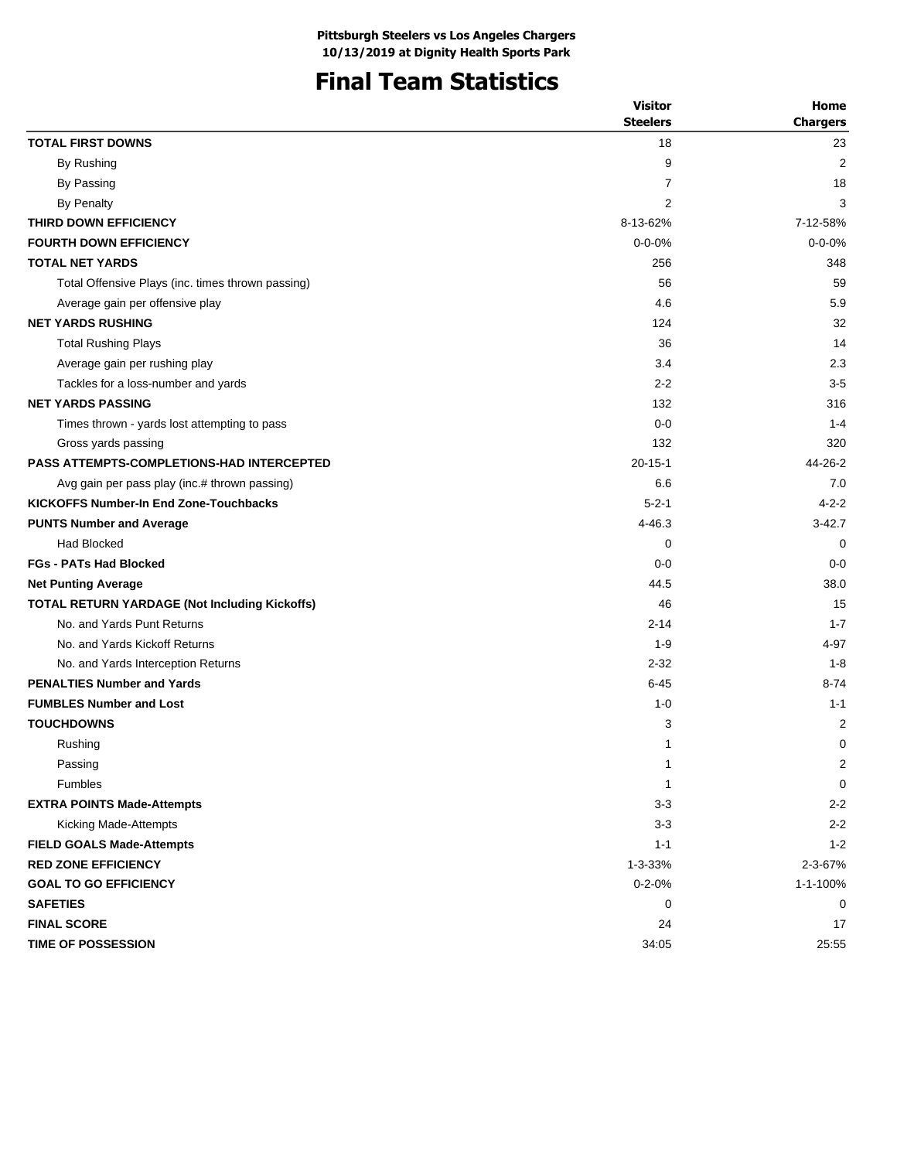# **Final Team Statistics**

|                                                   | <b>Visitor</b>  | Home            |
|---------------------------------------------------|-----------------|-----------------|
|                                                   | <b>Steelers</b> | <b>Chargers</b> |
| <b>TOTAL FIRST DOWNS</b>                          | 18              | 23              |
| By Rushing                                        | 9               | 2               |
| By Passing                                        | 7               | 18              |
| By Penalty                                        | 2               | 3               |
| THIRD DOWN EFFICIENCY                             | 8-13-62%        | 7-12-58%        |
| <b>FOURTH DOWN EFFICIENCY</b>                     | $0 - 0 - 0%$    | $0 - 0 - 0%$    |
| <b>TOTAL NET YARDS</b>                            | 256             | 348             |
| Total Offensive Plays (inc. times thrown passing) | 56              | 59              |
| Average gain per offensive play                   | 4.6             | 5.9             |
| <b>NET YARDS RUSHING</b>                          | 124             | 32              |
| <b>Total Rushing Plays</b>                        | 36              | 14              |
| Average gain per rushing play                     | 3.4             | 2.3             |
| Tackles for a loss-number and yards               | $2 - 2$         | $3-5$           |
| <b>NET YARDS PASSING</b>                          | 132             | 316             |
| Times thrown - yards lost attempting to pass      | $0 - 0$         | $1 - 4$         |
| Gross yards passing                               | 132             | 320             |
| <b>PASS ATTEMPTS-COMPLETIONS-HAD INTERCEPTED</b>  | $20 - 15 - 1$   | 44-26-2         |
| Avg gain per pass play (inc.# thrown passing)     | 6.6             | 7.0             |
| <b>KICKOFFS Number-In End Zone-Touchbacks</b>     | $5 - 2 - 1$     | $4 - 2 - 2$     |
| <b>PUNTS Number and Average</b>                   | 4-46.3          | $3 - 42.7$      |
| <b>Had Blocked</b>                                | 0               | 0               |
| <b>FGs - PATs Had Blocked</b>                     | $0 - 0$         | $0 - 0$         |
| <b>Net Punting Average</b>                        | 44.5            | 38.0            |
| TOTAL RETURN YARDAGE (Not Including Kickoffs)     | 46              | 15              |
| No. and Yards Punt Returns                        | $2 - 14$        | $1 - 7$         |
| No. and Yards Kickoff Returns                     | $1 - 9$         | 4-97            |
| No. and Yards Interception Returns                | $2 - 32$        | $1 - 8$         |
| <b>PENALTIES Number and Yards</b>                 | $6 - 45$        | $8 - 74$        |
| <b>FUMBLES Number and Lost</b>                    | $1 - 0$         | $1 - 1$         |
| <b>TOUCHDOWNS</b>                                 | 3               | 2               |
| Rushing                                           | 1               | $\mathbf 0$     |
| Passing                                           | 1               | 2               |
| <b>Fumbles</b>                                    | 1               | 0               |
| <b>EXTRA POINTS Made-Attempts</b>                 | $3 - 3$         | $2 - 2$         |
| Kicking Made-Attempts                             | $3-3$           | $2 - 2$         |
| <b>FIELD GOALS Made-Attempts</b>                  | $1 - 1$         | $1 - 2$         |
| <b>RED ZONE EFFICIENCY</b>                        | 1-3-33%         | 2-3-67%         |
| <b>GOAL TO GO EFFICIENCY</b>                      | $0 - 2 - 0%$    | 1-1-100%        |
| <b>SAFETIES</b>                                   | 0               | 0               |
| <b>FINAL SCORE</b>                                | 24              | 17              |
| <b>TIME OF POSSESSION</b>                         | 34:05           | 25:55           |
|                                                   |                 |                 |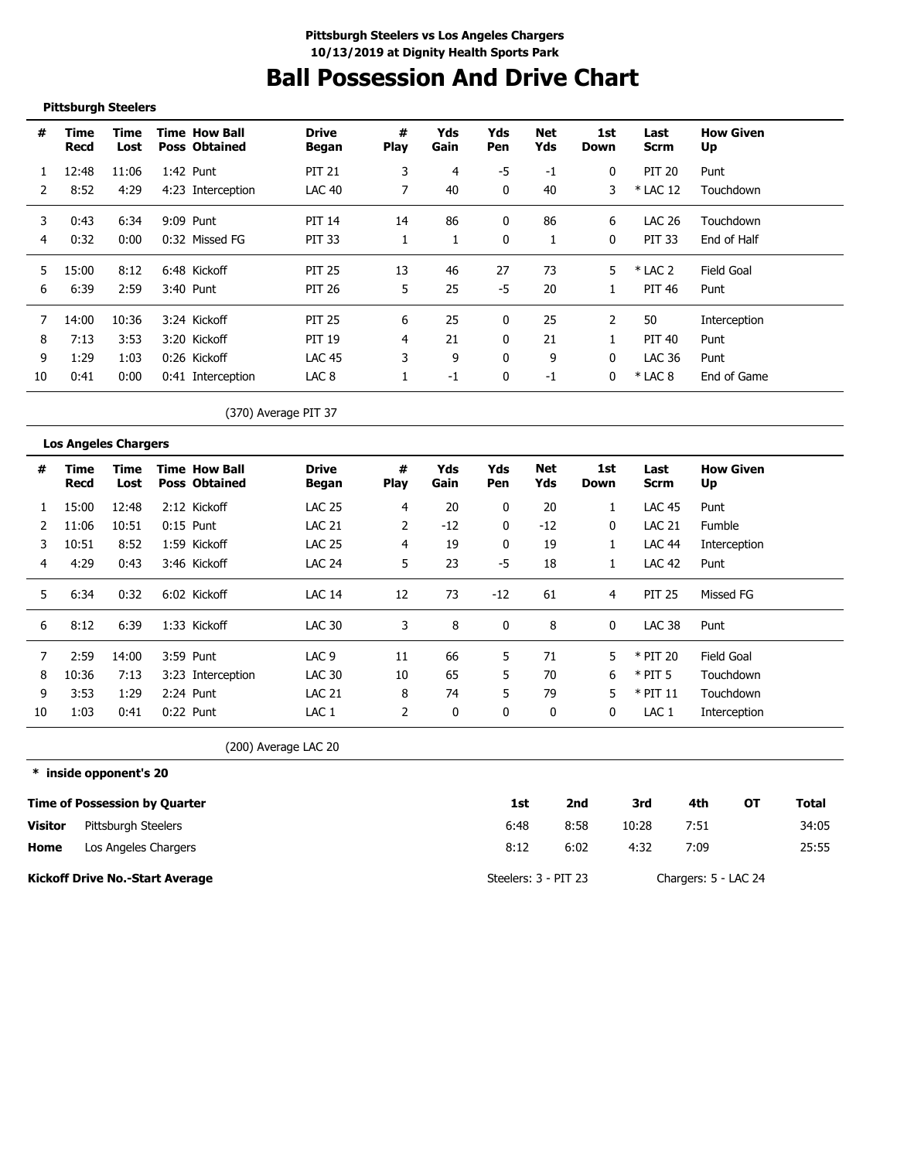# **Ball Possession And Drive Chart**

### **Pittsburgh Steelers**

---------------------

| #  | Time<br>Recd | Time<br>Lost | <b>Time How Ball</b><br><b>Poss Obtained</b> | <b>Drive</b><br>Began | #<br><b>Play</b> | Yds<br>Gain | Yds<br>Pen   | Net<br>Yds | 1st<br>Down  | Last<br><b>Scrm</b> | <b>How Given</b><br>Up |
|----|--------------|--------------|----------------------------------------------|-----------------------|------------------|-------------|--------------|------------|--------------|---------------------|------------------------|
|    | 12:48        | 11:06        | 1:42 Punt                                    | <b>PIT 21</b>         | 3                | 4           | -5           | -1         | 0            | <b>PIT 20</b>       | Punt                   |
|    | 8:52         | 4:29         | 4:23 Interception                            | <b>LAC 40</b>         |                  | 40          | 0            | 40         | 3            | $*$ LAC 12          | Touchdown              |
| 3  | 0:43         | 6:34         | 9:09 Punt                                    | <b>PIT 14</b>         | 14               | 86          | $\Omega$     | 86         | 6            | LAC 26              | Touchdown              |
| 4  | 0:32         | 0:00         | 0:32 Missed FG                               | PIT 33                |                  |             | $\Omega$     |            | $\mathbf{0}$ | <b>PIT 33</b>       | End of Half            |
| 5. | 15:00        | 8:12         | 6:48 Kickoff                                 | <b>PIT 25</b>         | 13               | 46          | 27           | 73         | 5            | $*$ LAC 2           | Field Goal             |
| 6  | 6:39         | 2:59         | 3:40 Punt                                    | <b>PIT 26</b>         | 5                | 25          | -5           | 20         |              | PIT 46              | Punt                   |
|    | 14:00        | 10:36        | 3:24 Kickoff                                 | <b>PIT 25</b>         | 6                | 25          | $\Omega$     | 25         |              | 50                  | Interception           |
| 8  | 7:13         | 3:53         | 3:20 Kickoff                                 | <b>PIT 19</b>         | 4                | 21          | 0            | 21         |              | PIT 40              | Punt                   |
| 9  | 1:29         | 1:03         | 0:26 Kickoff                                 | <b>LAC 45</b>         | 3                | 9           | 0            | 9          | 0            | LAC 36              | Punt                   |
| 10 | 0:41         | 0:00         | 0:41 Interception                            | LAC <sub>8</sub>      |                  | $-1$        | $\mathbf{0}$ | $-1$       | 0            | $*$ LAC 8           | End of Game            |

### (370) Average PIT 37

|    | <b>Los Angeles Chargers</b> |              |                                              |                       |                  |             |            |            |             |                  |                        |
|----|-----------------------------|--------------|----------------------------------------------|-----------------------|------------------|-------------|------------|------------|-------------|------------------|------------------------|
| #  | Time<br>Recd                | Time<br>Lost | <b>Time How Ball</b><br><b>Poss Obtained</b> | <b>Drive</b><br>Began | #<br><b>Play</b> | Yds<br>Gain | Yds<br>Pen | Net<br>Yds | 1st<br>Down | Last<br>Scrm     | <b>How Given</b><br>Up |
|    | 15:00                       | 12:48        | 2:12 Kickoff                                 | <b>LAC 25</b>         | 4                | 20          | 0          | 20         |             | <b>LAC 45</b>    | Punt                   |
|    | 11:06                       | 10:51        | $0:15$ Punt                                  | <b>LAC 21</b>         | 2                | -12         | 0          | $-12$      | 0           | <b>LAC 21</b>    | Fumble                 |
| 3  | 10:51                       | 8:52         | 1:59 Kickoff                                 | <b>LAC 25</b>         | 4                | 19          | 0          | 19         |             | <b>LAC 44</b>    | Interception           |
| 4  | 4:29                        | 0:43         | 3:46 Kickoff                                 | <b>LAC 24</b>         | 5                | 23          | -5         | 18         |             | <b>LAC 42</b>    | Punt                   |
| 5  | 6:34                        | 0:32         | 6:02 Kickoff                                 | <b>LAC 14</b>         | 12               | 73          | $-12$      | 61         | 4           | <b>PIT 25</b>    | Missed FG              |
| 6  | 8:12                        | 6:39         | 1:33 Kickoff                                 | <b>LAC 30</b>         | 3                | 8           |            | 8          | 0           | <b>LAC 38</b>    | Punt                   |
|    | 2:59                        | 14:00        | 3:59 Punt                                    | LAC <sub>9</sub>      | 11               | 66          | 5.         | 71         | 5           | * PIT 20         | Field Goal             |
| 8  | 10:36                       | 7:13         | 3:23 Interception                            | <b>LAC 30</b>         | 10               | 65          | 5.         | 70         | 6           | $*$ PIT 5        | Touchdown              |
| 9  | 3:53                        | 1:29         | $2:24$ Punt                                  | <b>LAC 21</b>         | 8                | 74          | 5.         | 79         | 5           | $*$ PIT 11       | Touchdown              |
| 10 | 1:03                        | 0:41         | $0:22$ Punt                                  | LAC 1                 | 2                | 0           | 0          | 0          | 0           | LAC <sub>1</sub> | Interception           |

(200) Average LAC 20

**\* inside opponent's 20**

|                | <b>Time of Possession by Quarter</b>   | 1st                  | 2nd  | 3rd   | 4th                  | ΟТ | Total |
|----------------|----------------------------------------|----------------------|------|-------|----------------------|----|-------|
| <b>Visitor</b> | Pittsburgh Steelers                    | 6:48                 | 8:58 | 10:28 | 7:51                 |    | 34:05 |
| Home           | Los Angeles Chargers                   | 8:12                 | 6:02 | 4:32  | 7:09                 |    | 25:55 |
|                | <b>Kickoff Drive No.-Start Average</b> | Steelers: 3 - PIT 23 |      |       | Chargers: 5 - LAC 24 |    |       |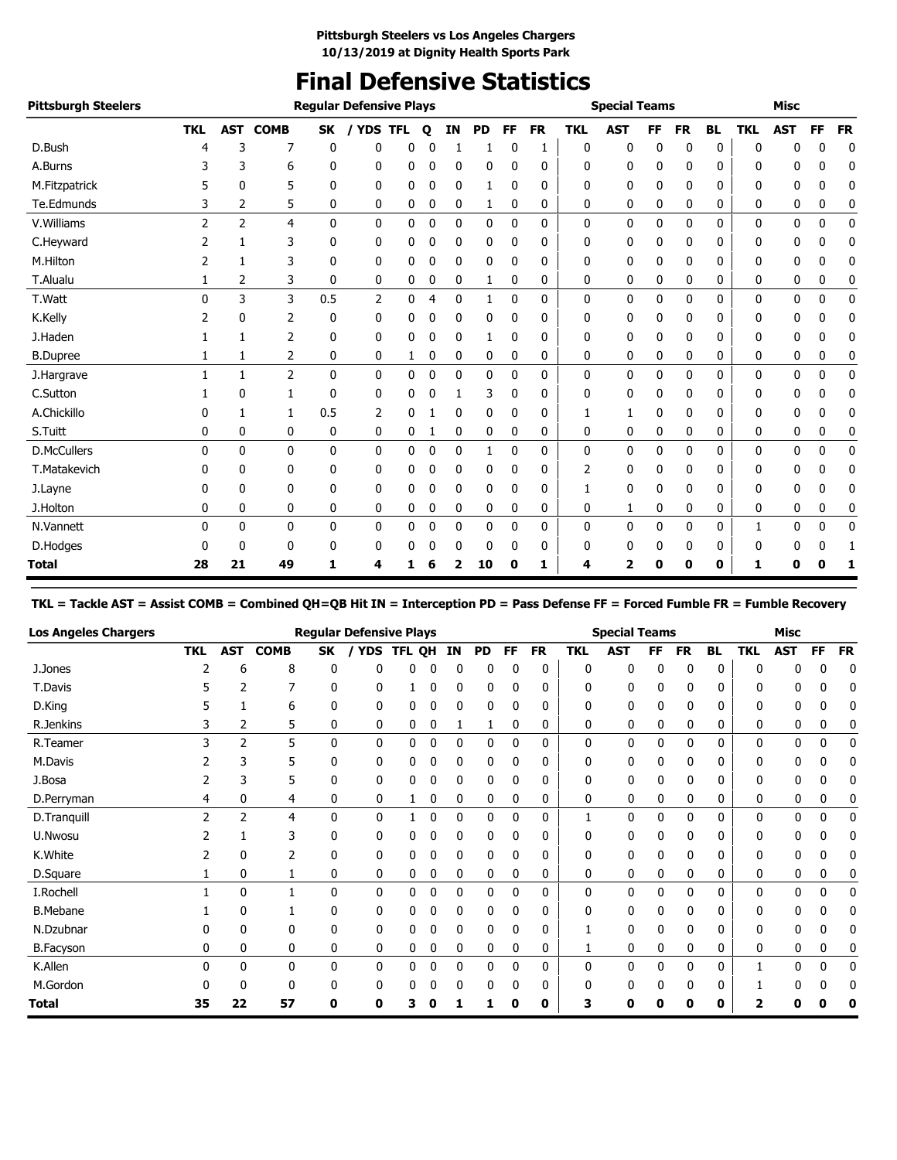# **Final Defensive Statistics**

| <b>Pittsburgh Steelers</b> |            |                |                |              | <b>Regular Defensive Plays</b> |   |             |          |              |             |           |            | <b>Special Teams</b>    |           |           |              |              | <b>Misc</b>  |             |           |
|----------------------------|------------|----------------|----------------|--------------|--------------------------------|---|-------------|----------|--------------|-------------|-----------|------------|-------------------------|-----------|-----------|--------------|--------------|--------------|-------------|-----------|
|                            | <b>TKL</b> | <b>AST</b>     | <b>COMB</b>    | SK           | / YDS TFL                      |   | $\mathbf o$ | IN       | <b>PD</b>    | FF          | <b>FR</b> | <b>TKL</b> | <b>AST</b>              | <b>FF</b> | <b>FR</b> | <b>BL</b>    | <b>TKL</b>   | <b>AST</b>   | FF          | <b>FR</b> |
| D.Bush                     | 4          | 3              | 7              | 0            | 0                              | 0 |             |          |              | 0           |           | 0          | 0                       | 0         | 0         | 0            | $\mathbf{0}$ | 0            | 0           | 0         |
| A.Burns                    |            | 3              | 6              | 0            | 0                              | 0 | 0           | 0        | 0            | 0           | 0         | 0          | 0                       | 0         | 0         | 0            | 0            | 0            | 0           | 0         |
| M.Fitzpatrick              | 5          | 0              | 5              | 0            | 0                              | 0 | 0           | 0        | 1            | 0           | 0         | 0          | 0                       | 0         | 0         | 0            | 0            | 0            | 0           | 0         |
| Te.Edmunds                 | 3          | 2              | 5              | 0            | 0                              | 0 | 0           | 0        | 1            | 0           | 0         | 0          | 0                       | 0         | 0         | 0            | 0            | 0            | 0           | 0         |
| V. Williams                | 2          | $\overline{2}$ | $\overline{4}$ | $\mathbf{0}$ | $\mathbf{0}$                   | 0 | $\mathbf 0$ | 0        | 0            | 0           | 0         | 0          | 0                       | $\Omega$  | 0         | $\mathbf{0}$ | $\mathbf{0}$ | 0            | $\mathbf 0$ | 0         |
| C.Heyward                  | 2          | 1              | 3              | $\mathbf{0}$ | 0                              | 0 | 0           | $\Omega$ | 0            | 0           | 0         | 0          | 0                       | 0         | 0         | 0            | 0            | 0            | 0           | 0         |
| M.Hilton                   | 2          | 1              | 3              | 0            | 0                              | 0 | 0           | 0        | 0            | 0           | 0         | 0          | 0                       | 0         | 0         | 0            | 0            | 0            | 0           | 0         |
| T.Alualu                   |            | 2              | 3              | 0            | 0                              | 0 | 0           | 0        | 1            | 0           | 0         | 0          | 0                       | 0         | 0         | 0            | 0            | 0            | 0           | 0         |
| T.Watt                     | 0          | 3              | 3              | 0.5          | $\overline{2}$                 | 0 | 4           | 0        | $\mathbf{1}$ | 0           | 0         | 0          | 0                       | 0         | 0         | 0            | $\mathbf{0}$ | $\mathbf{0}$ | $\mathbf 0$ | 0         |
| K.Kelly                    | 2          | 0              | 2              | 0            | 0                              | 0 | 0           | 0        | 0            | 0           | 0         | 0          | 0                       | 0         | 0         | 0            | 0            | 0            | 0           | 0         |
| J.Haden                    |            | 1              | 2              | 0            | 0                              | 0 | 0           | 0        | 1            | 0           | 0         | 0          | 0                       | 0         | 0         | 0            | 0            | 0            | 0           | 0         |
| <b>B.Dupree</b>            |            | 1              | 2              | $\mathbf{0}$ | 0                              | 1 | 0           | 0        | 0            | 0           | 0         | 0          | 0                       | 0         | 0         | 0            | $\mathbf{0}$ | 0            | 0           | 0         |
| J.Hargrave                 |            | 1              | $\overline{2}$ | $\mathbf{0}$ | $\Omega$                       | 0 | 0           | 0        | 0            | 0           | 0         | 0          | 0                       | 0         | 0         | 0            | $\mathbf{0}$ | $\mathbf{0}$ | $\mathbf 0$ | 0         |
| C.Sutton                   |            | 0              |                | 0            | 0                              | 0 | 0           | 1        | 3            | 0           | 0         | 0          | 0                       | 0         | 0         | 0            | 0            | 0            | 0           | 0         |
| A.Chickillo                | 0          | 1              | 1              | 0.5          | 2                              | 0 |             | 0        | 0            | 0           | 0         |            | 1                       | 0         | 0         | 0            | 0            | 0            | 0           | 0         |
| S.Tuitt                    | 0          | 0              | 0              | 0            | 0                              | 0 |             | 0        | 0            | 0           | 0         | 0          | 0                       | 0         | 0         | 0            | 0            | 0            | 0           | 0         |
| <b>D.McCullers</b>         | 0          | 0              | $\mathbf{0}$   | $\mathbf{0}$ | $\mathbf{0}$                   | 0 | 0           | 0        | 1            | $\mathbf 0$ | 0         | 0          | 0                       | 0         | 0         | 0            | $\mathbf{0}$ | 0            | 0           | 0         |
| T.Matakevich               | n          | 0              | 0              | 0            | 0                              | 0 | 0           | 0        | 0            | 0           | 0         | 2          | 0                       | ŋ         | 0         | 0            | 0            | 0            | 0           | 0         |
| J.Layne                    |            | 0              | 0              | 0            | 0                              | 0 | 0           | 0        | 0            | 0           | 0         | 1          | 0                       | 0         | 0         | 0            | 0            | 0            | 0           | 0         |
| J.Holton                   | 0          | 0              | 0              | 0            | 0                              | 0 | 0           | 0        | 0            | 0           | 0         | 0          | 1                       | 0         | 0         | 0            | 0            | 0            | 0           | 0         |
| N.Vannett                  | 0          | 0              | $\mathbf{0}$   | 0            | 0                              | 0 | 0           | 0        | 0            | 0           | 0         | 0          | 0                       | 0         | 0         | 0            | 1            | 0            | $\mathbf 0$ | 0         |
| D.Hodges                   |            | 0              | $\mathbf{0}$   | 0            | 0                              | 0 | 0           | 0        | 0            | 0           | 0         | 0          | 0                       | 0         | 0         | 0            | 0            | 0            | 0           | 1         |
| <b>Total</b>               | 28         | 21             | 49             | 1            | 4                              |   | 6           | 2        | 10           | 0           | 1         | 4          | $\overline{\mathbf{z}}$ | 0         | 0         | 0            | 1            | 0            | 0           | 1         |

**TKL = Tackle AST = Assist COMB = Combined QH=QB Hit IN = Interception PD = Pass Defense FF = Forced Fumble FR = Fumble Recovery**

| <b>Los Angeles Chargers</b> |            |              |              |          | <b>Regular Defensive Plays</b> |        |              |           |              |    |           |              | <b>Special Teams</b> |           |              |           |            | <b>Misc</b>  |          |           |
|-----------------------------|------------|--------------|--------------|----------|--------------------------------|--------|--------------|-----------|--------------|----|-----------|--------------|----------------------|-----------|--------------|-----------|------------|--------------|----------|-----------|
|                             | <b>TKL</b> | <b>AST</b>   | <b>COMB</b>  | SK       | <b>YDS</b>                     | TFL OH |              | <b>IN</b> | <b>PD</b>    | FF | <b>FR</b> | <b>TKL</b>   | <b>AST</b>           | <b>FF</b> | <b>FR</b>    | <b>BL</b> | <b>TKL</b> | <b>AST</b>   | FF       | <b>FR</b> |
| J.Jones                     | 2          | 6            | 8            | O        | ŋ                              | 0      | 0            | 0         | 0            | 0  | 0         | $\mathbf{0}$ | 0                    | 0         | $\mathbf{0}$ | 0         | U          |              | $\Omega$ | 0         |
| T.Davis                     |            | 2            |              | 0        | 0                              |        | 0            | 0         | 0            |    | 0         | 0            | 0                    | 0         | 0            | 0         | 0          |              | 0        |           |
| D.King                      |            |              | 6            | 0        | 0                              | 0      | 0            | 0         | 0            | 0  | 0         | 0            | 0                    | 0         | 0            | 0         | n          |              |          | 0         |
| R.Jenkins                   |            | 2            | 5            | 0        | 0                              | 0      | 0            |           |              | 0  | 0         | 0            | 0                    | 0         | 0            | 0         | 0          | 0            | 0        |           |
| R.Teamer                    | 3          | 2            | 5            | 0        | $\mathbf{0}$                   | 0      | 0            | 0         | $\mathbf{0}$ | 0  | 0         | $\mathbf{0}$ | 0                    | 0         | $\mathbf{0}$ | 0         | 0          | 0            | 0        | 0         |
| M.Davis                     |            | 3            | 5            | 0        | 0                              | 0      | 0            | 0         | 0            | 0  | 0         | 0            | 0                    | 0         | 0            | 0         | 0          | 0            | 0        | 0         |
| J.Bosa                      |            | 3            | 5            | 0        | 0                              | 0      | 0            | 0         | 0            | 0  | 0         | 0            | 0                    | 0         | 0            | 0         | n          | 0            | 0        | 0         |
| D.Perryman                  | 4          | 0            | 4            | 0        | 0                              |        | 0            | 0         | 0            | 0  | 0         | 0            | 0                    | 0         | 0            | 0         | 0          | 0            | 0        |           |
| D.Tranquill                 | 2          | 2            | 4            | 0        | $\mathbf{0}$                   |        | 0            | 0         | 0            | 0  | 0         |              | 0                    | 0         | 0            | 0         | O.         | 0            | 0        | 0         |
| U.Nwosu                     |            |              | 3            | 0        | 0                              | 0      | 0            | 0         | 0            | 0  | 0         | 0            | 0                    | 0         | 0            | 0         | 0          | 0            | 0        | 0         |
| K.White                     |            | 0            |              | 0        | 0                              | 0      | 0            | 0         | 0            | 0  | 0         | 0            | 0                    | 0         | 0            | 0         | U          | 0            | 0        | 0         |
| D.Square                    |            | 0            |              | 0        | 0                              | 0      | 0            | 0         | 0            | 0  | 0         | 0            | 0                    | 0         | 0            | 0         | 0          | 0            | 0        |           |
| I.Rochell                   |            | $\Omega$     |              | $\Omega$ | $\mathbf{0}$                   | 0      | $\mathbf{0}$ | U         | $\Omega$     | 0  | 0         | $\Omega$     | 0                    | 0         | 0            | 0         | U          | <sup>0</sup> | $\Omega$ | 0         |
| <b>B.Mebane</b>             |            | 0            |              | 0        | $\mathbf{0}$                   | 0      | 0            | 0         | $\mathbf{0}$ | 0  | 0         | $\Omega$     | 0                    | 0         | 0            | 0         | n          |              |          | 0         |
| N.Dzubnar                   |            | 0            | 0            | 0        | 0                              | 0      | 0            | 0         | 0            | 0  | 0         |              | 0                    | 0         | 0            | 0         | n          | 0            | 0        |           |
| <b>B.Facyson</b>            | 0          | 0            | 0            | 0        | 0                              | 0      | 0            | 0         | 0            | 0  | 0         |              | 0                    | 0         | 0            | 0         | 0          | 0            | 0        | 0         |
| K.Allen                     | n          | $\mathbf{0}$ | 0            | 0        | $\mathbf{0}$                   | 0      | 0            | 0         | 0            | 0  | 0         | $\mathbf{0}$ | 0                    | 0         | 0            | 0         |            | 0            | 0        | 0         |
| M.Gordon                    |            | U            | <sup>0</sup> | U        | 0                              | 0      | 0            | 0         | 0            | 0  | 0         | 0            | 0                    | 0         | 0            | 0         |            |              |          | 0         |
| <b>Total</b>                | 35         | 22           | 57           | 0        | 0                              |        |              |           |              | 0  | 0         | 3            | 0                    |           | 0            | 0         |            |              |          | 0         |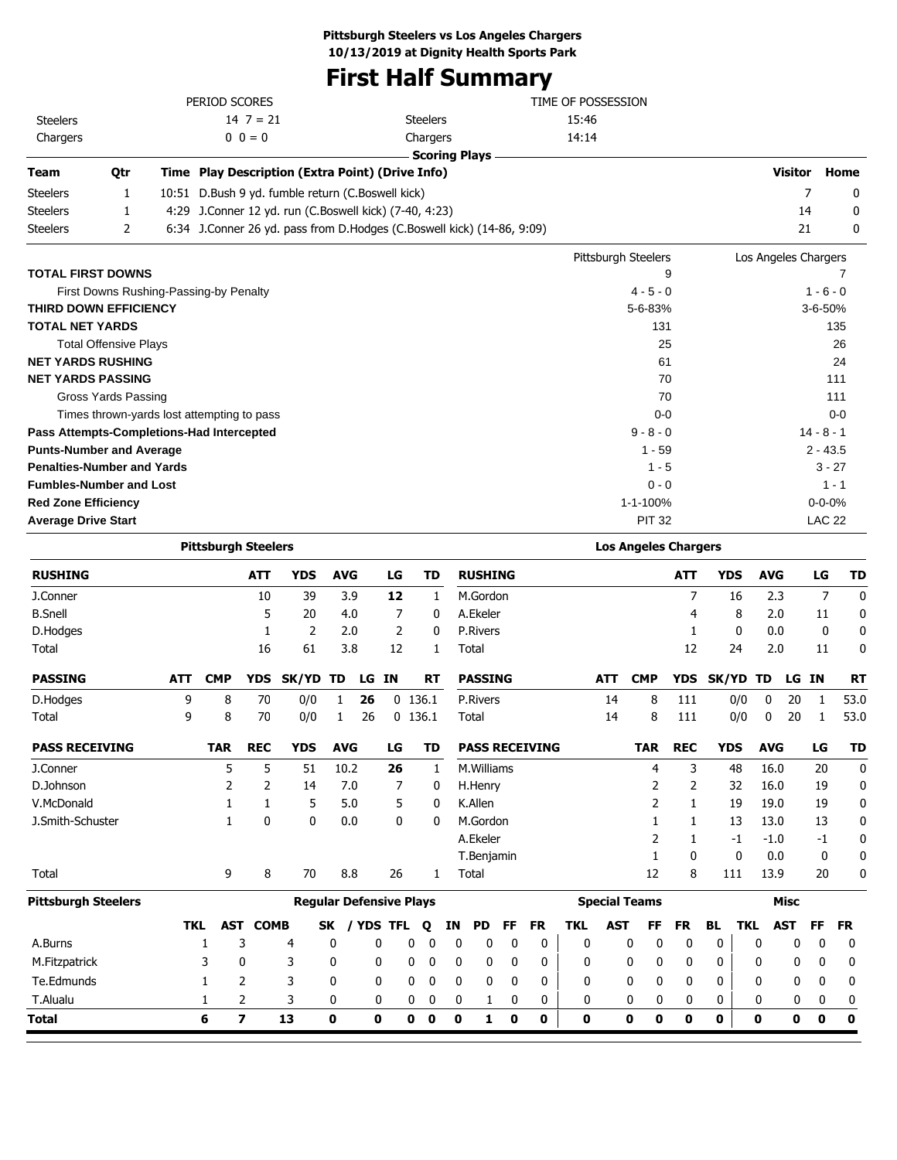# **First Half Summary**

| <b>Steelers</b>                                                                                          |                              |                                                | $14 \ 7 = 21$                                          |            |            |    | <b>Steelers</b> |                                                                        | 15:46               |            |            |                      |               |
|----------------------------------------------------------------------------------------------------------|------------------------------|------------------------------------------------|--------------------------------------------------------|------------|------------|----|-----------------|------------------------------------------------------------------------|---------------------|------------|------------|----------------------|---------------|
| Chargers                                                                                                 |                              |                                                | $0 \t0 = 0$                                            |            |            |    | Chargers        |                                                                        | 14:14               |            |            |                      |               |
|                                                                                                          |                              |                                                |                                                        |            |            |    |                 | <b>Scoring Plays</b>                                                   |                     |            |            |                      |               |
| <b>Team</b>                                                                                              | <b>Otr</b>                   |                                                | Time Play Description (Extra Point) (Drive Info)       |            |            |    |                 |                                                                        |                     |            |            | <b>Visitor</b>       | Home          |
| <b>Steelers</b>                                                                                          | 1                            |                                                | 10:51 D.Bush 9 yd. fumble return (C.Boswell kick)      |            |            |    |                 |                                                                        |                     |            |            | 7                    | 0             |
| <b>Steelers</b>                                                                                          | 1                            |                                                | 4:29 J.Conner 12 yd. run (C.Boswell kick) (7-40, 4:23) |            |            |    |                 |                                                                        |                     |            |            | 14                   | 0             |
| <b>Steelers</b>                                                                                          | 2                            |                                                |                                                        |            |            |    |                 | 6:34 J.Conner 26 yd. pass from D.Hodges (C.Boswell kick) (14-86, 9:09) |                     |            |            | 21                   | 0             |
|                                                                                                          |                              |                                                |                                                        |            |            |    |                 |                                                                        | Pittsburgh Steelers |            |            | Los Angeles Chargers |               |
| <b>TOTAL FIRST DOWNS</b>                                                                                 |                              |                                                |                                                        |            |            |    |                 |                                                                        | 9                   |            |            |                      |               |
|                                                                                                          |                              |                                                | First Downs Rushing-Passing-by Penalty                 |            |            |    |                 |                                                                        | $4 - 5 - 0$         |            |            |                      | $1 - 6 - 0$   |
|                                                                                                          |                              |                                                |                                                        |            |            |    |                 |                                                                        |                     |            |            |                      | 3-6-50%       |
| <b>TOTAL NET YARDS</b>                                                                                   |                              | <b>THIRD DOWN EFFICIENCY</b><br>5-6-83%<br>131 |                                                        |            |            |    |                 |                                                                        |                     | 135        |            |                      |               |
|                                                                                                          | <b>Total Offensive Plays</b> | 25                                             |                                                        |            |            |    |                 |                                                                        |                     | 26         |            |                      |               |
| <b>NET YARDS RUSHING</b>                                                                                 |                              |                                                |                                                        |            |            |    |                 |                                                                        | 61                  |            |            |                      | 24            |
| <b>NET YARDS PASSING</b>                                                                                 |                              |                                                |                                                        |            |            |    |                 |                                                                        | 70                  |            |            |                      | 111           |
|                                                                                                          | Gross Yards Passing          |                                                |                                                        |            |            |    |                 |                                                                        | 70                  |            |            |                      | 111           |
|                                                                                                          |                              |                                                | Times thrown-yards lost attempting to pass             |            |            |    |                 |                                                                        | $0 - 0$             |            |            |                      | $0 - 0$       |
|                                                                                                          |                              |                                                | Pass Attempts-Completions-Had Intercepted              |            |            |    |                 |                                                                        | $9 - 8 - 0$         |            |            |                      | $14 - 8 - 1$  |
| <b>Punts-Number and Average</b>                                                                          |                              |                                                |                                                        |            |            |    |                 |                                                                        | $1 - 59$            |            |            |                      | $2 - 43.5$    |
| <b>Penalties-Number and Yards</b>                                                                        |                              |                                                |                                                        |            |            |    |                 |                                                                        | $1 - 5$             |            |            |                      | $3 - 27$      |
| <b>Fumbles-Number and Lost</b>                                                                           |                              |                                                |                                                        |            |            |    |                 |                                                                        | $0 - 0$             |            |            |                      | $1 - 1$       |
| <b>Red Zone Efficiency</b>                                                                               |                              |                                                |                                                        |            |            |    |                 |                                                                        | $1 - 1 - 100%$      |            |            |                      | $0 - 0 - 0%$  |
|                                                                                                          |                              |                                                |                                                        |            |            |    |                 |                                                                        |                     |            |            |                      | <b>LAC 22</b> |
| <b>Average Drive Start</b><br><b>PIT 32</b><br><b>Los Angeles Chargers</b><br><b>Pittsburgh Steelers</b> |                              |                                                |                                                        |            |            |    |                 |                                                                        |                     |            |            |                      |               |
| <b>RUSHING</b>                                                                                           |                              |                                                | <b>ATT</b>                                             | <b>YDS</b> | <b>AVG</b> | LG | TD              | <b>RUSHING</b>                                                         |                     | <b>ATT</b> | <b>YDS</b> | <b>AVG</b>           | LG<br>TD      |

| <b>RUSHING</b>             |            |            | <b>ATT</b>               | <b>YDS</b>                     | <b>AVG</b> |              | LG           |           | TD        |             | <b>RUSHING</b>  |             |                       |              |            |                      | <b>ATT</b> |           | <b>YDS</b> | <b>AVG</b> |             | LG           | <b>TD</b>        |
|----------------------------|------------|------------|--------------------------|--------------------------------|------------|--------------|--------------|-----------|-----------|-------------|-----------------|-------------|-----------------------|--------------|------------|----------------------|------------|-----------|------------|------------|-------------|--------------|------------------|
| J.Conner                   |            |            | 10                       | 39                             |            | 3.9          | 12           |           | 1         |             | M.Gordon        |             |                       |              |            |                      | 7          |           | 16         | 2.3        |             | 7            | $\boldsymbol{0}$ |
| <b>B.Snell</b>             |            |            | 5                        | 20                             |            | 4.0          | 7            |           | 0         |             | A.Ekeler        |             |                       |              |            |                      | 4          |           | 8          | 2.0        |             | 11           | 0                |
| D.Hodges                   |            |            | 1                        | 2                              |            | 2.0          | 2            |           | 0         |             | <b>P.Rivers</b> |             |                       |              |            |                      |            |           | $\Omega$   | 0.0        |             | $\mathbf{0}$ | 0                |
| Total                      |            |            | 16                       | 61                             |            | 3.8          | 12           |           | 1         |             | Total           |             |                       |              |            |                      | 12         |           | 24         | 2.0        |             | 11           | 0                |
| <b>PASSING</b>             | <b>ATT</b> | <b>CMP</b> | <b>YDS</b>               | SK/YD                          | TD         | LG           | <b>IN</b>    |           | <b>RT</b> |             | <b>PASSING</b>  |             |                       |              | <b>ATT</b> | <b>CMP</b>           | <b>YDS</b> | SK/YD     |            | TD         | LG          | <b>IN</b>    | <b>RT</b>        |
| D.Hodges                   | 9          | 8          | 70                       | 0/0                            | 1          | 26           |              | $0$ 136.1 |           |             | <b>P.Rivers</b> |             |                       |              | 14         | 8                    | 111        |           | 0/0        | 0          | 20          | $\mathbf{1}$ | 53.0             |
| Total                      | 9          | 8          | 70                       | 0/0                            | 1          | 26           |              | $0$ 136.1 |           |             | Total           |             |                       |              | 14         | 8                    | 111        |           | 0/0        | 0          | 20          | 1            | 53.0             |
| <b>PASS RECEIVING</b>      |            | <b>TAR</b> | <b>REC</b>               | <b>YDS</b>                     | <b>AVG</b> |              | LG           |           | TD        |             |                 |             | <b>PASS RECEIVING</b> |              |            | <b>TAR</b>           | <b>REC</b> |           | <b>YDS</b> | <b>AVG</b> |             | LG           | <b>TD</b>        |
| J.Conner                   |            | 5          | 5                        | 51                             | 10.2       |              | 26           |           | 1         |             | M.Williams      |             |                       |              |            | 4                    | 3          |           | 48         | 16.0       |             | 20           | $\mathbf 0$      |
| D.Johnson                  |            | 2          | $\overline{2}$           | 14                             |            | 7.0          | 7            |           | 0         |             | H.Henry         |             |                       |              |            | 2                    | 2          |           | 32         | 16.0       |             | 19           | 0                |
| V.McDonald                 |            |            | 1                        | 5                              |            | 5.0          | 5            |           | 0         |             | K.Allen         |             |                       |              |            | 2                    | 1          |           | 19         | 19.0       |             | 19           | 0                |
| J.Smith-Schuster           |            |            | 0                        | 0                              |            | 0.0          | $\mathbf{0}$ |           | 0         |             | M.Gordon        |             |                       |              |            |                      |            |           | 13         | 13.0       |             | 13           | 0                |
|                            |            |            |                          |                                |            |              |              |           |           |             | A.Ekeler        |             |                       |              |            | 2                    | 1          |           | -1         | $-1.0$     |             | -1           | 0                |
|                            |            |            |                          |                                |            |              |              |           |           |             | T.Benjamin      |             |                       |              |            |                      | 0          |           | 0          | 0.0        |             | 0            | 0                |
| Total                      |            | 9          | 8                        | 70                             |            | 8.8          | 26           |           | 1         |             | Total           |             |                       |              |            | 12                   | 8          |           | 111        | 13.9       |             | 20           | 0                |
| <b>Pittsburgh Steelers</b> |            |            |                          | <b>Regular Defensive Plays</b> |            |              |              |           |           |             |                 |             |                       |              |            | <b>Special Teams</b> |            |           |            |            | <b>Misc</b> |              |                  |
|                            | <b>TKL</b> | AST        | <b>COMB</b>              |                                | <b>SK</b>  | <b>YDS</b>   | <b>TFL</b>   |           | Q         | ΙN          | <b>PD</b>       | <b>FF</b>   | <b>FR</b>             | <b>TKL</b>   | <b>AST</b> | FF                   | <b>FR</b>  | <b>BL</b> | <b>TKL</b> |            | <b>AST</b>  | <b>FF</b>    | <b>FR</b>        |
| A.Burns                    |            | 1          | 3                        | 4                              | 0          | $\mathbf{0}$ |              | 0         | 0         | 0           | 0               | 0           | 0                     | $\mathbf{0}$ |            | 0<br>0               | 0          | 0         |            | 0          | 0           | $\mathbf{0}$ | 0                |
| M.Fitzpatrick              |            | 3          | 0                        | 3                              | 0          | 0            |              | 0         | 0         | 0           | 0               | 0           | 0                     | 0            |            | 0<br>0               | 0          | 0         |            | 0          | 0           | 0            | 0                |
| Te.Edmunds                 |            |            | 2                        | 3                              | 0          | $\mathbf{0}$ |              | 0         | 0         | 0           | 0               | 0           | 0                     | 0            |            | 0<br>0               | 0          | 0         |            | 0          | 0           | 0            | 0                |
| T.Alualu                   |            | 1          | 2                        | 3                              | 0          | 0            |              | 0         | 0         | 0           | 1               | 0           | 0                     | 0            |            | 0<br>0               | 0          | 0         |            | 0          | 0           | 0            | 0                |
| <b>Total</b>               |            | 6          | $\overline{\phantom{a}}$ | 13                             | 0          | 0            |              | 0         | 0         | $\mathbf 0$ | 1               | $\mathbf 0$ | 0                     | 0            |            | 0<br>0               | 0          | 0         |            | 0          | 0           | 0            | $\mathbf 0$      |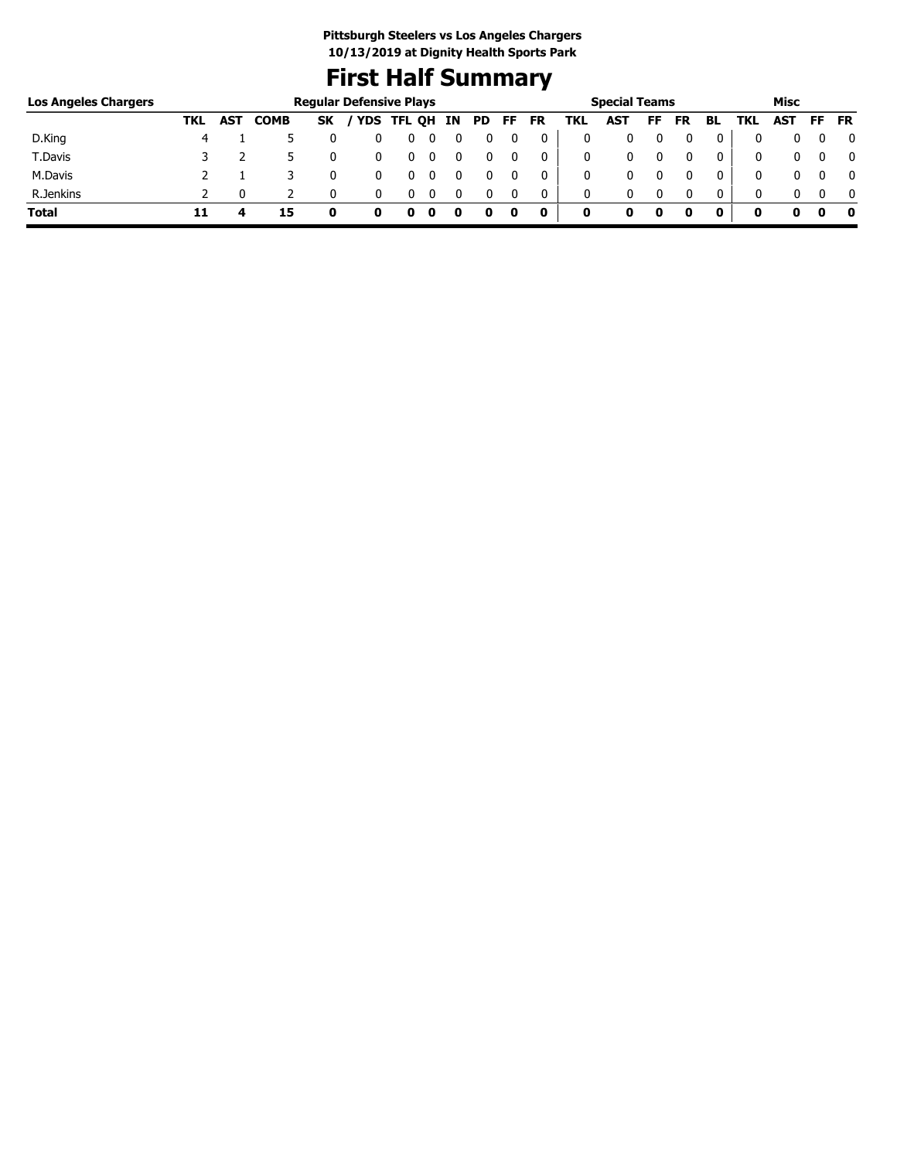# **First Half Summary**

| <b>Los Angeles Chargers</b> |     |            |             |           | <b>Regular Defensive Plays</b> |        |     |     |    |           |     | <b>Special Teams</b> |    |           |              |     | Misc |           |              |
|-----------------------------|-----|------------|-------------|-----------|--------------------------------|--------|-----|-----|----|-----------|-----|----------------------|----|-----------|--------------|-----|------|-----------|--------------|
|                             | TKL | <b>AST</b> | <b>COMB</b> | <b>SK</b> | ' YDS                          | TFL OH | IN. | PD. | FF | <b>FR</b> | TKL | <b>AST</b>           | FF | <b>FR</b> | BL           | TKL | AST  | <b>FF</b> | <b>FR</b>    |
| D.King                      |     |            |             |           |                                |        |     |     |    |           |     |                      |    |           | 0            |     |      |           | 0            |
| T.Davis                     |     |            |             |           |                                |        |     |     |    |           |     |                      |    |           | 0            | 0   |      |           | $\mathbf{0}$ |
| M.Davis                     |     |            |             |           |                                |        |     |     |    |           |     | 0                    |    |           | 0            | 0   |      |           | 0            |
| R.Jenkins                   |     |            |             |           |                                |        |     |     |    | 0         | 0   | 0                    |    |           | $\mathbf{0}$ | 0   |      |           | $\Omega$     |
| <b>Total</b>                | 11  |            | 15          |           |                                | o      |     |     | O  | 0         | 0   |                      | 0  | 0         | 0            | 0   |      |           | - 0          |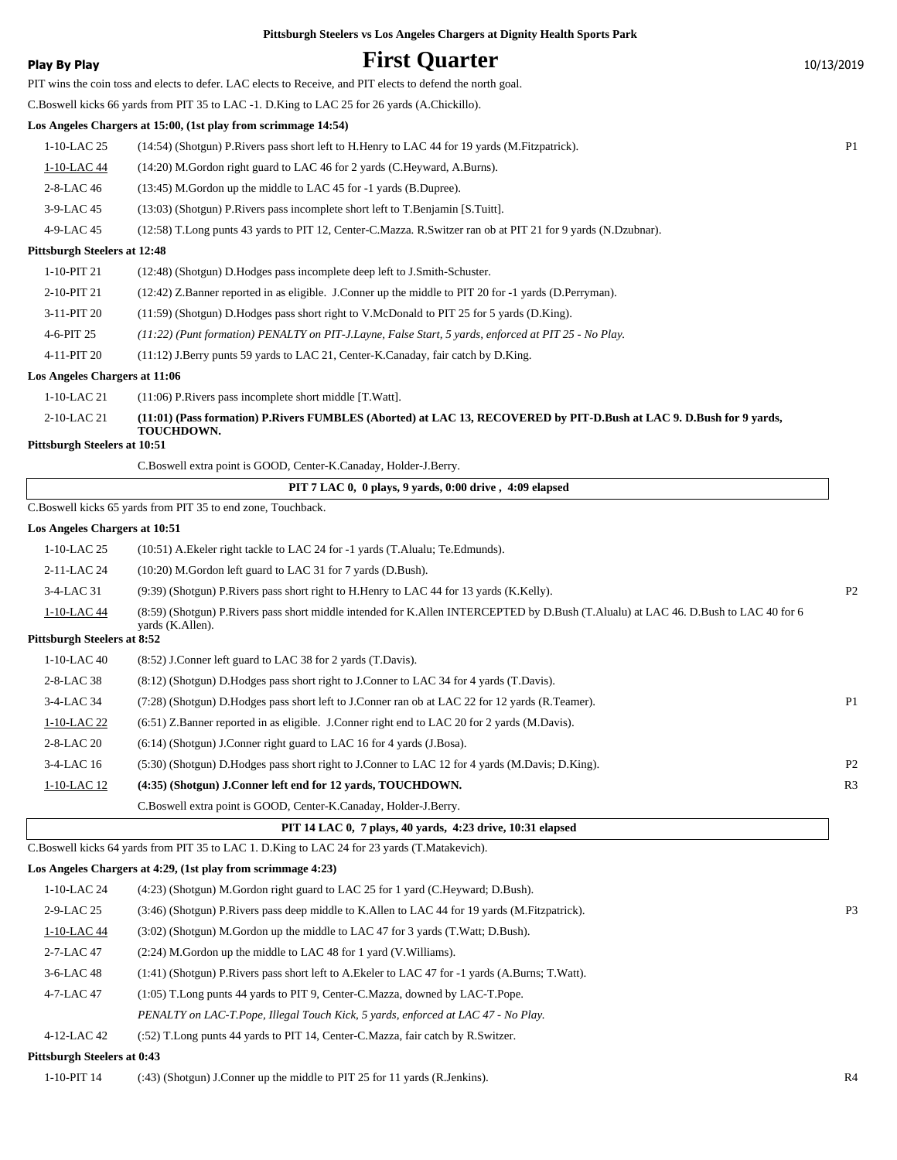**Play By Play Play Play First Quarter** 10/13/2019 PIT wins the coin toss and elects to defer. LAC elects to Receive, and PIT elects to defend the north goal. C.Boswell kicks 66 yards from PIT 35 to LAC -1. D.King to LAC 25 for 26 yards (A.Chickillo). **Los Angeles Chargers at 15:00, (1st play from scrimmage 14:54)** 1-10-LAC 25 (14:54) (Shotgun) P.Rivers pass short left to H.Henry to LAC 44 for 19 yards (M.Fitzpatrick). P1 1-10-LAC 44 (14:20) M.Gordon right guard to LAC 46 for 2 yards (C.Heyward, A.Burns). 2-8-LAC 46 (13:45) M.Gordon up the middle to LAC 45 for -1 yards (B.Dupree). 3-9-LAC 45 (13:03) (Shotgun) P.Rivers pass incomplete short left to T.Benjamin [S.Tuitt]. 4-9-LAC 45 (12:58) T.Long punts 43 yards to PIT 12, Center-C.Mazza. R.Switzer ran ob at PIT 21 for 9 yards (N.Dzubnar). **Pittsburgh Steelers at 12:48** 1-10-PIT 21 (12:48) (Shotgun) D.Hodges pass incomplete deep left to J.Smith-Schuster. 2-10-PIT 21 (12:42) Z.Banner reported in as eligible. J.Conner up the middle to PIT 20 for -1 yards (D.Perryman). 3-11-PIT 20 (11:59) (Shotgun) D.Hodges pass short right to V.McDonald to PIT 25 for 5 yards (D.King). 4-6-PIT 25 *(11:22) (Punt formation) PENALTY on PIT-J.Layne, False Start, 5 yards, enforced at PIT 25 - No Play.* 4-11-PIT 20 (11:12) J.Berry punts 59 yards to LAC 21, Center-K.Canaday, fair catch by D.King. **Los Angeles Chargers at 11:06** 1-10-LAC 21 (11:06) P.Rivers pass incomplete short middle [T.Watt]. **(11:01) (Pass formation) P.Rivers FUMBLES (Aborted) at LAC 13, RECOVERED by PIT-D.Bush at LAC 9. D.Bush for 9 yards, TOUCHDOWN.** 2-10-LAC 21 **Pittsburgh Steelers at 10:51** C.Boswell extra point is GOOD, Center-K.Canaday, Holder-J.Berry.  **PIT 7 LAC 0, 0 plays, 9 yards, 0:00 drive , 4:09 elapsed** C.Boswell kicks 65 yards from PIT 35 to end zone, Touchback. **Los Angeles Chargers at 10:51** 1-10-LAC 25 (10:51) A.Ekeler right tackle to LAC 24 for -1 yards (T.Alualu; Te.Edmunds). 2-11-LAC 24 (10:20) M.Gordon left guard to LAC 31 for 7 yards (D.Bush). 3-4-LAC 31 (9:39) (Shotgun) P.Rivers pass short right to H.Henry to LAC 44 for 13 yards (K.Kelly). P2 (8:59) (Shotgun) P.Rivers pass short middle intended for K.Allen INTERCEPTED by D.Bush (T.Alualu) at LAC 46. D.Bush to LAC 40 for 6 yards (K.Allen). 1-10-LAC 44 **Pittsburgh Steelers at 8:52** 1-10-LAC 40 (8:52) J.Conner left guard to LAC 38 for 2 yards (T.Davis). 2-8-LAC 38 (8:12) (Shotgun) D.Hodges pass short right to J.Conner to LAC 34 for 4 yards (T.Davis). 3-4-LAC 34 (7:28) (Shotgun) D.Hodges pass short left to J.Conner ran ob at LAC 22 for 12 yards (R.Teamer). P1 1-10-LAC 22 (6:51) Z.Banner reported in as eligible. J.Conner right end to LAC 20 for 2 yards (M.Davis). 2-8-LAC 20 (6:14) (Shotgun) J.Conner right guard to LAC 16 for 4 yards (J.Bosa). 3-4-LAC 16 (5:30) (Shotgun) D.Hodges pass short right to J.Conner to LAC 12 for 4 yards (M.Davis; D.King). P2 1-10-LAC 12 **(4:35) (Shotgun) J.Conner left end for 12 yards, TOUCHDOWN.** R3 C.Boswell extra point is GOOD, Center-K.Canaday, Holder-J.Berry.  **PIT 14 LAC 0, 7 plays, 40 yards, 4:23 drive, 10:31 elapsed** C.Boswell kicks 64 yards from PIT 35 to LAC 1. D.King to LAC 24 for 23 yards (T.Matakevich). **Los Angeles Chargers at 4:29, (1st play from scrimmage 4:23)** 1-10-LAC 24 (4:23) (Shotgun) M.Gordon right guard to LAC 25 for 1 yard (C.Heyward; D.Bush). 2-9-LAC 25 (3:46) (Shotgun) P.Rivers pass deep middle to K.Allen to LAC 44 for 19 yards (M.Fitzpatrick). P3 1-10-LAC 44 (3:02) (Shotgun) M.Gordon up the middle to LAC 47 for 3 yards (T.Watt; D.Bush). 2-7-LAC 47 (2:24) M.Gordon up the middle to LAC 48 for 1 yard (V. Williams). 3-6-LAC 48 (1:41) (Shotgun) P.Rivers pass short left to A.Ekeler to LAC 47 for -1 yards (A.Burns; T.Watt). 4-7-LAC 47 (1:05) T.Long punts 44 yards to PIT 9, Center-C.Mazza, downed by LAC-T.Pope. *PENALTY on LAC-T.Pope, Illegal Touch Kick, 5 yards, enforced at LAC 47 - No Play.*

**Pittsburgh Steelers vs Los Angeles Chargers at Dignity Health Sports Park**

4-12-LAC 42 (:52) T.Long punts 44 yards to PIT 14, Center-C.Mazza, fair catch by R.Switzer.

#### **Pittsburgh Steelers at 0:43**

1-10-PIT 14 (:43) (Shotgun) J.Conner up the middle to PIT 25 for 11 yards (R.Jenkins). R4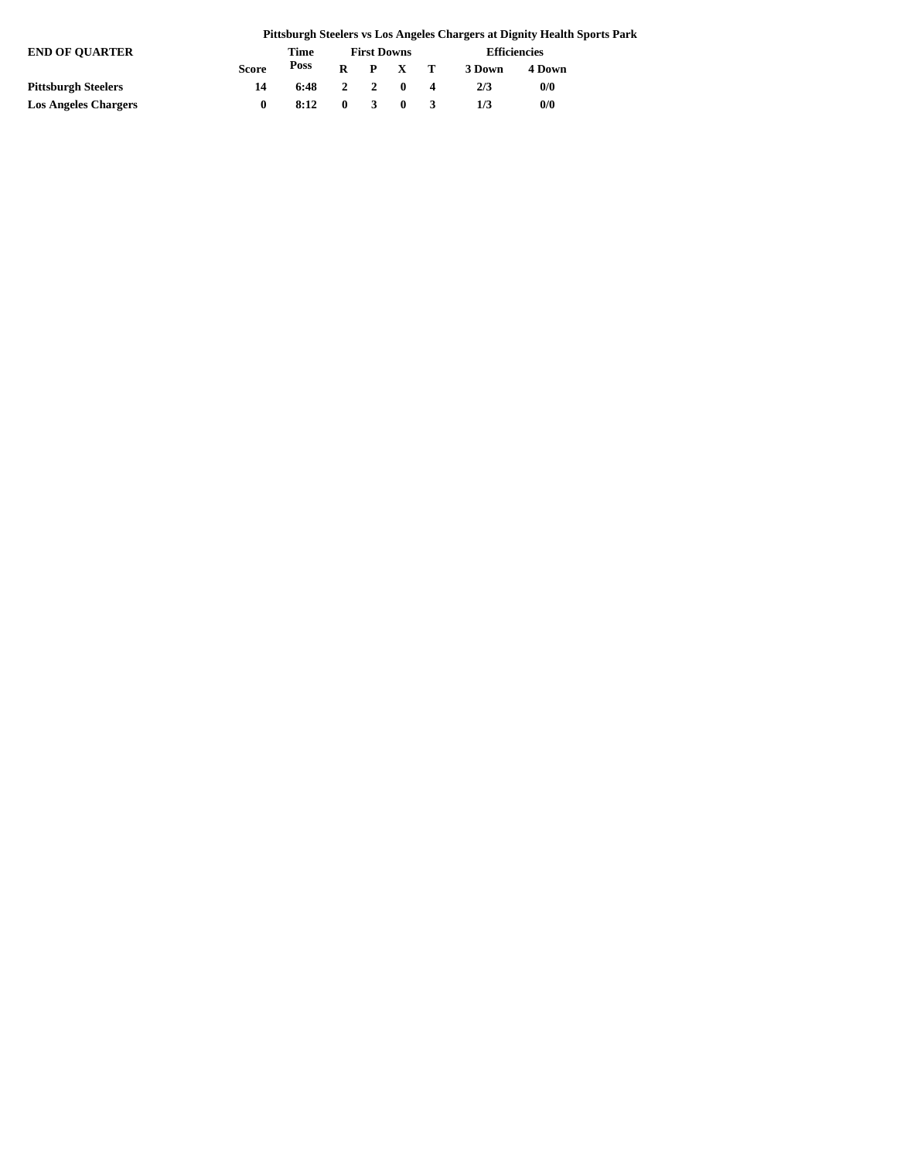|                             |              |              |                    |                 |    |        | Pittsburgh Steelers vs Los Angeles Chargers at Dignity Health Sports Park |  |
|-----------------------------|--------------|--------------|--------------------|-----------------|----|--------|---------------------------------------------------------------------------|--|
| <b>END OF OUARTER</b>       |              | Time         | <b>First Downs</b> |                 |    |        | Efficiencies                                                              |  |
|                             | <b>Score</b> | Poss         |                    | $R$ $P$ $X$ $T$ |    | 3 Down | 4 Down                                                                    |  |
| <b>Pittsburgh Steelers</b>  | 14           | $6:48$ 2 2 0 |                    |                 | -4 | 2/3    | 0/0                                                                       |  |
| <b>Los Angeles Chargers</b> |              | 8:12         | $0 \quad 3$        | $\mathbf{0}$    |    | 1/3    | 0/0                                                                       |  |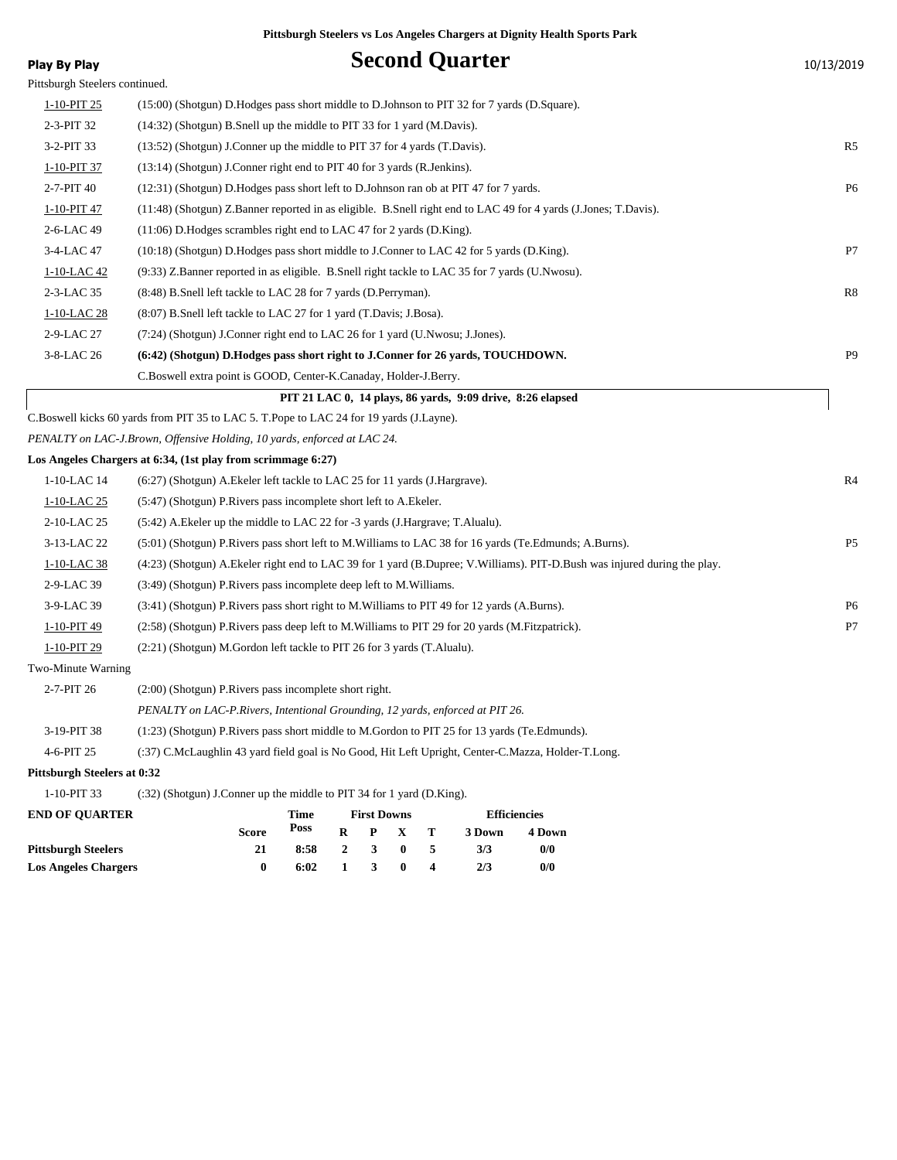| Play By Play                   | <b>Second Quarter</b>                                                                                                        | 10/13/2019     |
|--------------------------------|------------------------------------------------------------------------------------------------------------------------------|----------------|
| Pittsburgh Steelers continued. |                                                                                                                              |                |
| 1-10-PIT 25                    | (15:00) (Shotgun) D.Hodges pass short middle to D.Johnson to PIT 32 for 7 yards (D.Square).                                  |                |
| 2-3-PIT 32                     | (14:32) (Shotgun) B.Snell up the middle to PIT 33 for 1 yard (M.Davis).                                                      |                |
| 3-2-PIT 33                     | (13:52) (Shotgun) J.Conner up the middle to PIT 37 for 4 yards (T.Davis).                                                    | R <sub>5</sub> |
| 1-10-PIT 37                    | (13:14) (Shotgun) J.Conner right end to PIT 40 for 3 yards (R.Jenkins).                                                      |                |
| 2-7-PIT 40                     | (12:31) (Shotgun) D.Hodges pass short left to D.Johnson ran ob at PIT 47 for 7 yards.                                        | <b>P6</b>      |
| 1-10-PIT 47                    | (11:48) (Shotgun) Z.Banner reported in as eligible. B.Snell right end to LAC 49 for 4 yards (J.Jones; T.Davis).              |                |
| 2-6-LAC 49                     | (11:06) D. Hodges scrambles right end to LAC 47 for 2 yards (D. King).                                                       |                |
| 3-4-LAC 47                     | (10:18) (Shotgun) D.Hodges pass short middle to J.Conner to LAC 42 for 5 yards (D.King).                                     | P7             |
| 1-10-LAC 42                    | (9:33) Z.Banner reported in as eligible. B.Snell right tackle to LAC 35 for 7 yards (U.Nwosu).                               |                |
| 2-3-LAC 35                     | (8:48) B.Snell left tackle to LAC 28 for 7 yards (D.Perryman).                                                               | R8             |
| 1-10-LAC 28                    | (8:07) B.Snell left tackle to LAC 27 for 1 yard (T.Davis; J.Bosa).                                                           |                |
| 2-9-LAC 27                     | (7:24) (Shotgun) J.Conner right end to LAC 26 for 1 yard (U.Nwosu; J.Jones).                                                 |                |
| 3-8-LAC 26                     | (6:42) (Shotgun) D.Hodges pass short right to J.Conner for 26 yards, TOUCHDOWN.                                              | P <sub>9</sub> |
|                                | C.Boswell extra point is GOOD, Center-K.Canaday, Holder-J.Berry.                                                             |                |
|                                | PIT 21 LAC 0, 14 plays, 86 vards, 9:09 drive, 8:26 elapsed                                                                   |                |
|                                | C.Boswell kicks 60 yards from PIT 35 to LAC 5. T.Pope to LAC 24 for 19 yards (J.Layne).                                      |                |
|                                | PENALTY on LAC-J.Brown, Offensive Holding, 10 yards, enforced at LAC 24.                                                     |                |
|                                | Los Angeles Chargers at 6:34, (1st play from scrimmage 6:27)                                                                 |                |
| 1-10-LAC 14                    | (6:27) (Shotgun) A. Ekeler left tackle to LAC 25 for 11 yards (J. Hargrave).                                                 | R4             |
| 1-10-LAC 25                    | (5:47) (Shotgun) P.Rivers pass incomplete short left to A.Ekeler.                                                            |                |
| 2-10-LAC 25                    | (5:42) A. Ekeler up the middle to LAC 22 for -3 yards (J. Hargrave; T. Alualu).                                              |                |
| 3-13-LAC 22                    | (5:01) (Shotgun) P.Rivers pass short left to M.Williams to LAC 38 for 16 yards (Te.Edmunds; A.Burns).                        | P <sub>5</sub> |
| 1-10-LAC 38                    | (4:23) (Shotgun) A. Ekeler right end to LAC 39 for 1 yard (B. Dupree; V. Williams). PIT-D. Bush was injured during the play. |                |
| 2-9-LAC 39                     | (3:49) (Shotgun) P. Rivers pass incomplete deep left to M. Williams.                                                         |                |
| 3-9-LAC 39                     | (3:41) (Shotgun) P.Rivers pass short right to M.Williams to PIT 49 for 12 yards (A.Burns).                                   | P <sub>6</sub> |

1-10-PIT 49 (2:58) (Shotgun) P.Rivers pass deep left to M.Williams to PIT 29 for 20 yards (M.Fitzpatrick). P7

1-10-PIT 29 (2:21) (Shotgun) M.Gordon left tackle to PIT 26 for 3 yards (T.Alualu).

Two-Minute Warning

 $\Box$ 

| dittehurah Stoolare at A+22 |                                                                                                    |
|-----------------------------|----------------------------------------------------------------------------------------------------|
| 4-6-PIT 25                  | (:37) C.McLaughlin 43 yard field goal is No Good, Hit Left Upright, Center-C.Mazza, Holder-T.Long. |
| 3-19-PIT 38                 | (1:23) (Shotgun) P.Rivers pass short middle to M.Gordon to PIT 25 for 13 yards (Te.Edmunds).       |
|                             | PENALTY on LAC-P.Rivers, Intentional Grounding, 12 yards, enforced at PIT 26.                      |
| 2-7-PIT 26                  | $(2:00)$ (Shotgun) P. Rivers pass incomplete short right.                                          |

### **Pittsburgh Steelers at 0:32**

1-10-PIT 33 (:32) (Shotgun) J.Conner up the middle to PIT 34 for 1 yard (D.King).

| <b>END OF OUARTER</b>       |              | Time | <b>First Downs</b> |                 | <b>Efficiencies</b> |        |
|-----------------------------|--------------|------|--------------------|-----------------|---------------------|--------|
|                             | <b>Score</b> | Poss |                    | $R$ $P$ $X$ $T$ | 3 Down              | 4 Down |
| <b>Pittsburgh Steelers</b>  | 21           | 8:58 |                    | 2 3 0 5         | 3/3                 | 0/0    |
| <b>Los Angeles Chargers</b> |              | 6:02 |                    | 1 3 0 4         | 2/3                 | 0/0    |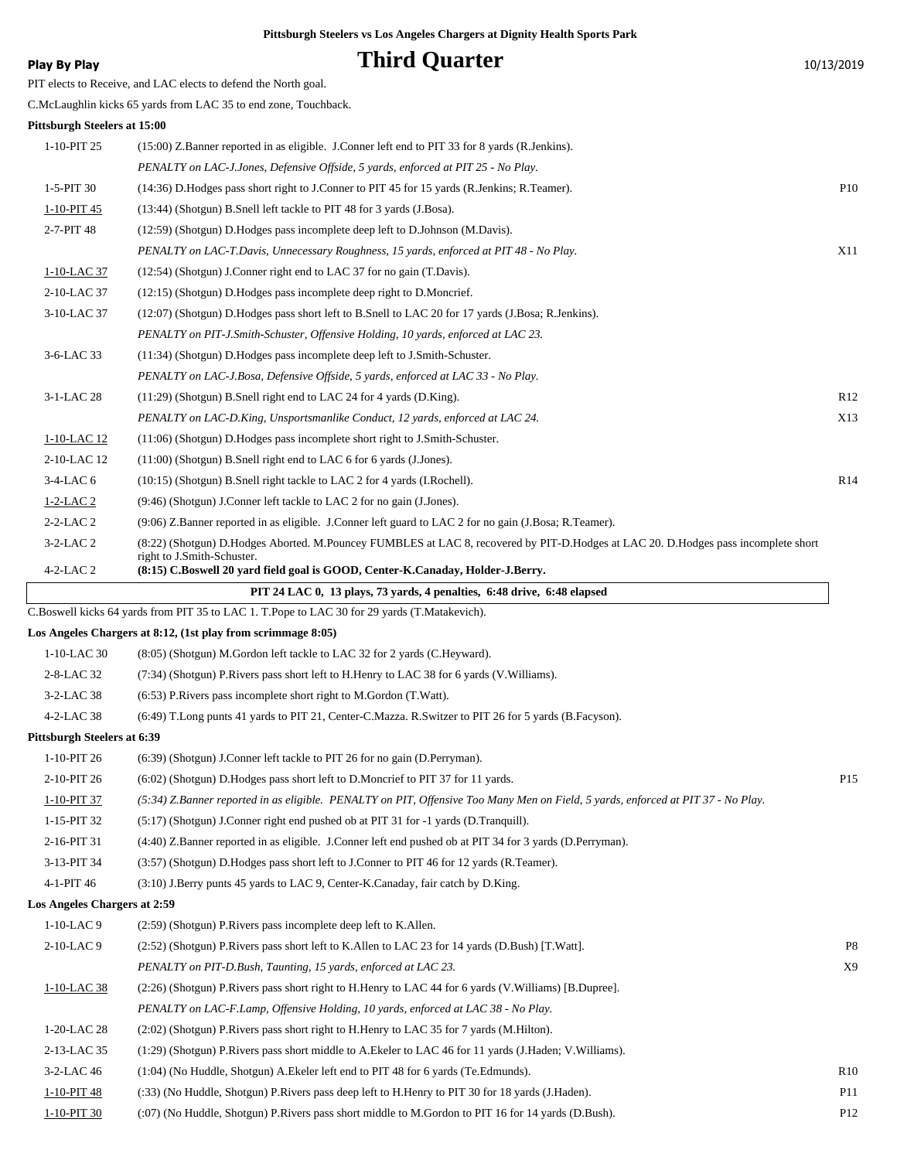# **Play By Play Play Play Play Play By Play Play By Play Play By Play Play Play Play Play Play Play Play Play Play Play Play Play Play Play Play Play Play Play Play Play**

PIT elects to Receive, and LAC elects to defend the North goal.

C.McLaughlin kicks 65 yards from LAC 35 to end zone, Touchback.

### **Pittsburgh Steelers at 15:00**

| PIUSDUF <u>e</u> n Steelers at 15:00 |                                                                                                                                    |                 |
|--------------------------------------|------------------------------------------------------------------------------------------------------------------------------------|-----------------|
| 1-10-PIT 25                          | (15:00) Z.Banner reported in as eligible. J.Conner left end to PIT 33 for 8 yards (R.Jenkins).                                     |                 |
|                                      | PENALTY on LAC-J.Jones, Defensive Offside, 5 yards, enforced at PIT 25 - No Play.                                                  |                 |
| 1-5-PIT 30                           | (14:36) D.Hodges pass short right to J.Conner to PIT 45 for 15 yards (R.Jenkins; R.Teamer).                                        | P <sub>10</sub> |
| 1-10-PIT 45                          | (13:44) (Shotgun) B.Snell left tackle to PIT 48 for 3 yards (J.Bosa).                                                              |                 |
| 2-7-PIT 48                           | (12:59) (Shotgun) D.Hodges pass incomplete deep left to D.Johnson (M.Davis).                                                       |                 |
|                                      | PENALTY on LAC-T.Davis, Unnecessary Roughness, 15 yards, enforced at PIT 48 - No Play.                                             | <b>X11</b>      |
| 1-10-LAC 37                          | (12:54) (Shotgun) J.Conner right end to LAC 37 for no gain (T.Davis).                                                              |                 |
| 2-10-LAC 37                          | (12:15) (Shotgun) D.Hodges pass incomplete deep right to D.Moncrief.                                                               |                 |
| 3-10-LAC 37                          | (12:07) (Shotgun) D.Hodges pass short left to B.Snell to LAC 20 for 17 yards (J.Bosa; R.Jenkins).                                  |                 |
|                                      | PENALTY on PIT-J.Smith-Schuster, Offensive Holding, 10 yards, enforced at LAC 23.                                                  |                 |
| 3-6-LAC 33                           | (11:34) (Shotgun) D.Hodges pass incomplete deep left to J.Smith-Schuster.                                                          |                 |
|                                      | PENALTY on LAC-J.Bosa, Defensive Offside, 5 yards, enforced at LAC 33 - No Play.                                                   |                 |
| 3-1-LAC 28                           | $(11:29)$ (Shotgun) B.Snell right end to LAC 24 for 4 yards (D.King).                                                              | R <sub>12</sub> |
|                                      | PENALTY on LAC-D.King, Unsportsmanlike Conduct, 12 yards, enforced at LAC 24.                                                      | X13             |
| 1-10-LAC 12                          | (11:06) (Shotgun) D.Hodges pass incomplete short right to J.Smith-Schuster.                                                        |                 |
| 2-10-LAC 12                          | $(11:00)$ (Shotgun) B.Snell right end to LAC 6 for 6 yards (J.Jones).                                                              |                 |
| $3-4$ -LAC 6                         | (10:15) (Shotgun) B.Snell right tackle to LAC 2 for 4 yards (I.Rochell).                                                           | R14             |
| $1-2-LAC2$                           | (9:46) (Shotgun) J.Conner left tackle to LAC 2 for no gain (J.Jones).                                                              |                 |
| $2 - 2 - LAC2$                       | (9:06) Z.Banner reported in as eligible. J.Conner left guard to LAC 2 for no gain (J.Bosa; R.Teamer).                              |                 |
| $3-2-LAC2$                           | (8:22) (Shotgun) D.Hodges Aborted. M.Pouncey FUMBLES at LAC 8, recovered by PIT-D.Hodges at LAC 20. D.Hodges pass incomplete short |                 |
| $4-2-LAC2$                           | right to J.Smith-Schuster.<br>(8:15) C.Boswell 20 yard field goal is GOOD, Center-K.Canaday, Holder-J.Berry.                       |                 |
|                                      | PIT 24 LAC 0, 13 plays, 73 yards, 4 penalties, 6:48 drive, 6:48 elapsed                                                            |                 |
|                                      | C.Boswell kicks 64 yards from PIT 35 to LAC 1. T.Pope to LAC 30 for 29 yards (T.Matakevich).                                       |                 |
|                                      | Los Angeles Chargers at 8:12, (1st play from scrimmage 8:05)                                                                       |                 |
| 1-10-LAC 30                          | (8:05) (Shotgun) M.Gordon left tackle to LAC 32 for 2 yards (C.Heyward).                                                           |                 |
| 2-8-LAC 32                           | (7:34) (Shotgun) P. Rivers pass short left to H. Henry to LAC 38 for 6 yards (V. Williams).                                        |                 |
| 3-2-LAC 38                           | $(6:53)$ P. Rivers pass incomplete short right to M. Gordon $(T.Watt)$ .                                                           |                 |
| $4 - 2 - LAC$ 38                     | (6:49) T.Long punts 41 yards to PIT 21, Center-C.Mazza. R.Switzer to PIT 26 for 5 yards (B.Facyson).                               |                 |

#### **Pittsburgh Steelers at 6:39**

| $1-10-PIT26$                        | $(6.39)$ (Shotgun) J.Conner left tackle to PIT 26 for no gain (D.Perryman).                                                      |                 |
|-------------------------------------|----------------------------------------------------------------------------------------------------------------------------------|-----------------|
| 2-10-PIT 26                         | (6:02) (Shotgun) D.Hodges pass short left to D.Moncrief to PIT 37 for 11 yards.                                                  | P <sub>15</sub> |
| 1-10-PIT 37                         | (5:34) Z.Banner reported in as eligible. PENALTY on PIT, Offensive Too Many Men on Field, 5 yards, enforced at PIT 37 - No Play. |                 |
| $1-15-PIT32$                        | $(5:17)$ (Shotgun) J.Conner right end pushed ob at PIT 31 for $-1$ vards (D.Tranquill).                                          |                 |
| 2-16-PIT 31                         | (4:40) Z.Banner reported in as eligible. J.Conner left end pushed ob at PIT 34 for 3 yards (D.Perryman).                         |                 |
| 3-13-PIT 34                         | (3:57) (Shotgun) D.Hodges pass short left to J.Conner to PIT 46 for 12 yards (R.Teamer).                                         |                 |
| 4-1-PIT 46                          | $(3:10)$ J.Berry punts 45 yards to LAC 9, Center-K.Canaday, fair catch by D.King.                                                |                 |
| <b>Los Angeles Chargers at 2:59</b> |                                                                                                                                  |                 |
| $1-10-LAC$ 9                        | $(2:59)$ (Shotgun) P. Rivers pass incomplete deep left to K. Allen.                                                              |                 |

| $2-10-LAC9$   | (2.52) (Shotgun) P.Rivers pass short left to K.Allen to LAC 23 for 14 yards (D.Bush) [T.Watt].           | P8              |
|---------------|----------------------------------------------------------------------------------------------------------|-----------------|
|               | PENALTY on PIT-D.Bush, Taunting, 15 yards, enforced at LAC 23.                                           | X9              |
| 1-10-LAC 38   | (2:26) (Shotgun) P. Rivers pass short right to H. Henry to LAC 44 for 6 yards (V. Williams) [B. Dupree]. |                 |
|               | PENALTY on LAC-F.Lamp, Offensive Holding, 10 yards, enforced at LAC 38 - No Play.                        |                 |
| 1-20-LAC 28   | $(2.02)$ (Shotgun) P. Rivers pass short right to H. Henry to LAC 35 for 7 yards (M. Hilton).             |                 |
| 2-13-LAC 35   | (1:29) (Shotgun) P.Rivers pass short middle to A.Ekeler to LAC 46 for 11 yards (J.Haden; V.Williams).    |                 |
| $3-2$ -LAC 46 | $(1:04)$ (No Huddle, Shotgun) A. Ekeler left end to PIT 48 for 6 yards (Te. Edmunds).                    | R10             |
| 1-10-PIT 48   | (:33) (No Huddle, Shotgun) P.Rivers pass deep left to H.Henry to PIT 30 for 18 yards (J.Haden).          | P <sub>11</sub> |
| 1-10-PIT 30   | (:07) (No Huddle, Shotgun) P.Rivers pass short middle to M.Gordon to PIT 16 for 14 yards (D.Bush).       | P <sub>12</sub> |
|               |                                                                                                          |                 |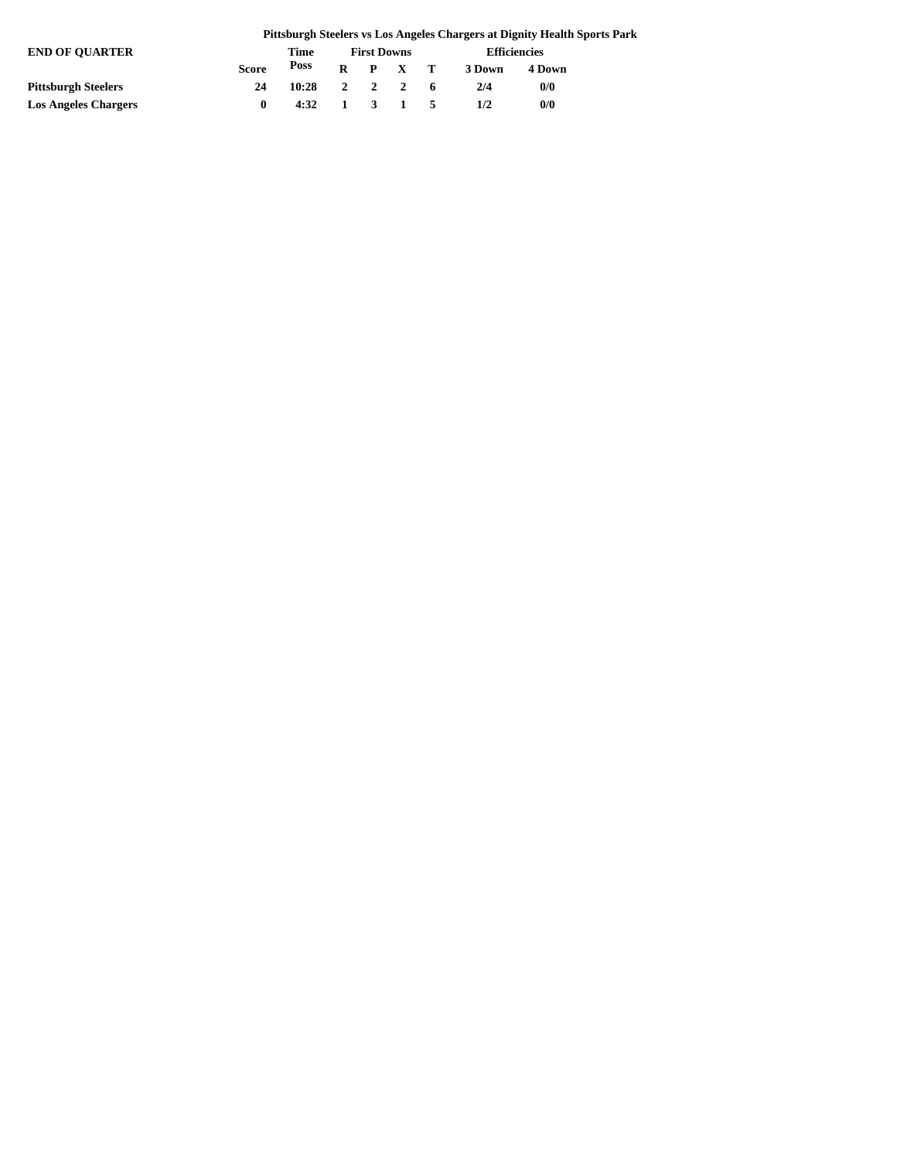|                             |              |                                        |                    |  |                 |                     | Pittsburgh Steelers vs Los Angeles Chargers at Dignity Health Sports Park |  |
|-----------------------------|--------------|----------------------------------------|--------------------|--|-----------------|---------------------|---------------------------------------------------------------------------|--|
| <b>END OF OUARTER</b>       | Time         |                                        | <b>First Downs</b> |  |                 | <b>Efficiencies</b> |                                                                           |  |
|                             | <b>Score</b> | Poss                                   |                    |  | $R$ $P$ $X$ $T$ | 3 Down              | 4 Down                                                                    |  |
| <b>Pittsburgh Steelers</b>  | 24           | $10:28$ 2 2 2 6                        |                    |  |                 | 2/4                 | 0/0                                                                       |  |
| <b>Los Angeles Chargers</b> | $\mathbf{0}$ | $4:32 \quad 1 \quad 3 \quad 1 \quad 5$ |                    |  |                 | 1/2                 | 0/0                                                                       |  |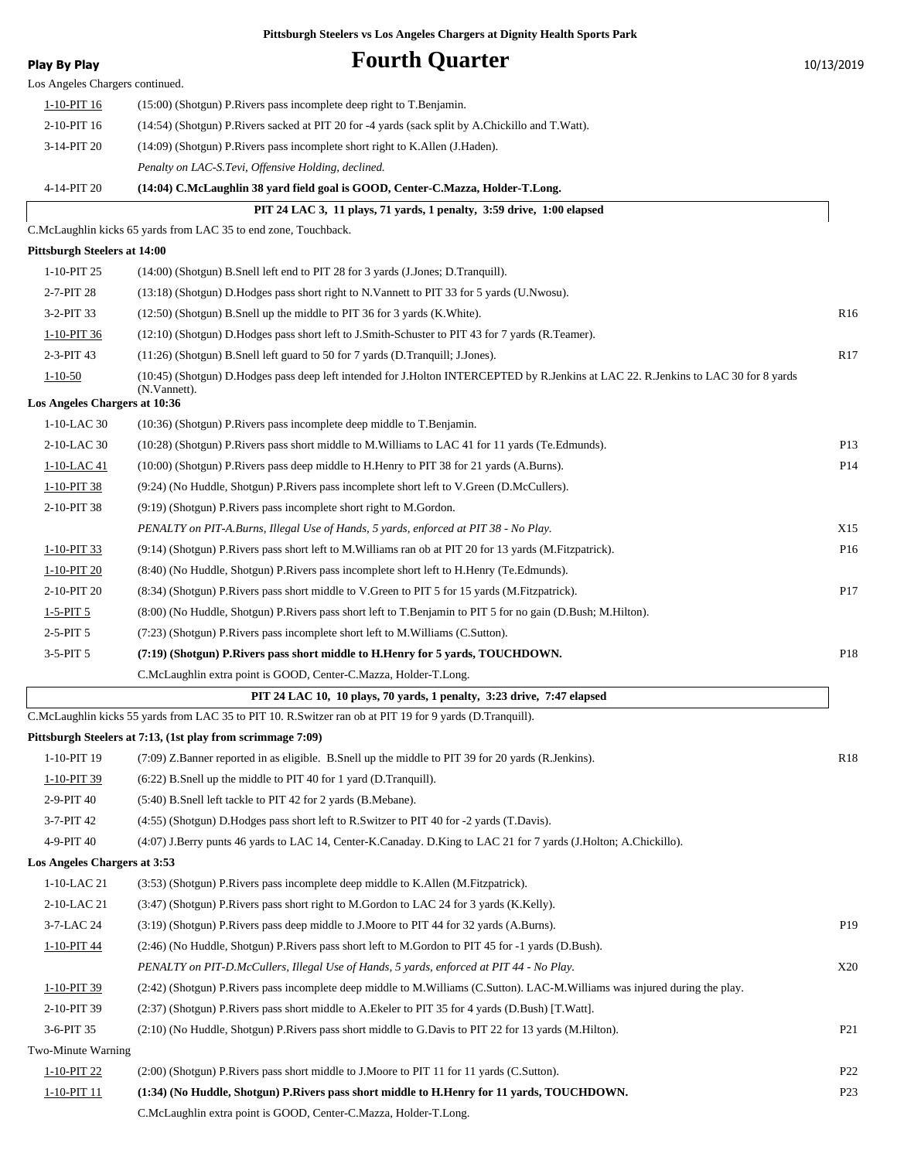| <b>Play By Play</b>                            | <b>Fourth Quarter</b>                                                                                                                               | 10/13/2019      |
|------------------------------------------------|-----------------------------------------------------------------------------------------------------------------------------------------------------|-----------------|
| Los Angeles Chargers continued.                |                                                                                                                                                     |                 |
| 1-10-PIT 16                                    | $(15:00)$ (Shotgun) P. Rivers pass incomplete deep right to T. Benjamin.                                                                            |                 |
| 2-10-PIT 16                                    | (14:54) (Shotgun) P.Rivers sacked at PIT 20 for -4 yards (sack split by A.Chickillo and T.Watt).                                                    |                 |
| 3-14-PIT 20                                    | (14:09) (Shotgun) P.Rivers pass incomplete short right to K.Allen (J.Haden).                                                                        |                 |
|                                                | Penalty on LAC-S.Tevi, Offensive Holding, declined.                                                                                                 |                 |
| 4-14-PIT 20                                    | (14:04) C.McLaughlin 38 yard field goal is GOOD, Center-C.Mazza, Holder-T.Long.                                                                     |                 |
|                                                | PIT 24 LAC 3, 11 plays, 71 yards, 1 penalty, 3:59 drive, 1:00 elapsed                                                                               |                 |
|                                                | C.McLaughlin kicks 65 yards from LAC 35 to end zone, Touchback.                                                                                     |                 |
| <b>Pittsburgh Steelers at 14:00</b>            |                                                                                                                                                     |                 |
| 1-10-PIT 25                                    | (14:00) (Shotgun) B.Snell left end to PIT 28 for 3 yards (J.Jones; D.Tranquill).                                                                    |                 |
| 2-7-PIT 28                                     | (13:18) (Shotgun) D.Hodges pass short right to N.Vannett to PIT 33 for 5 yards (U.Nwosu).                                                           |                 |
| 3-2-PIT 33                                     | (12:50) (Shotgun) B.Snell up the middle to PIT 36 for 3 yards (K. White).                                                                           | R <sub>16</sub> |
| 1-10-PIT 36                                    | (12:10) (Shotgun) D.Hodges pass short left to J.Smith-Schuster to PIT 43 for 7 yards (R.Teamer).                                                    |                 |
| 2-3-PIT 43                                     | (11:26) (Shotgun) B.Snell left guard to 50 for 7 yards (D.Tranquill; J.Jones).                                                                      | R <sub>17</sub> |
| $1 - 10 - 50$<br>Los Angeles Chargers at 10:36 | (10:45) (Shotgun) D.Hodges pass deep left intended for J.Holton INTERCEPTED by R.Jenkins at LAC 22. R.Jenkins to LAC 30 for 8 yards<br>(N.Vannett). |                 |
| 1-10-LAC 30                                    | (10:36) (Shotgun) P.Rivers pass incomplete deep middle to T.Benjamin.                                                                               |                 |
| 2-10-LAC 30                                    | (10:28) (Shotgun) P.Rivers pass short middle to M.Williams to LAC 41 for 11 yards (Te.Edmunds).                                                     | P <sub>13</sub> |
| 1-10-LAC 41                                    | (10:00) (Shotgun) P.Rivers pass deep middle to H.Henry to PIT 38 for 21 yards (A.Burns).                                                            | P14             |
| 1-10-PIT 38                                    | (9:24) (No Huddle, Shotgun) P.Rivers pass incomplete short left to V.Green (D.McCullers).                                                           |                 |
| 2-10-PIT 38                                    | (9:19) (Shotgun) P.Rivers pass incomplete short right to M.Gordon.                                                                                  |                 |
|                                                | PENALTY on PIT-A.Burns, Illegal Use of Hands, 5 yards, enforced at PIT 38 - No Play.                                                                | X15             |
| 1-10-PIT 33                                    | (9:14) (Shotgun) P.Rivers pass short left to M.Williams ran ob at PIT 20 for 13 yards (M.Fitzpatrick).                                              | P <sub>16</sub> |
| 1-10-PIT 20                                    | (8:40) (No Huddle, Shotgun) P.Rivers pass incomplete short left to H.Henry (Te.Edmunds).                                                            |                 |
| 2-10-PIT 20                                    | (8:34) (Shotgun) P.Rivers pass short middle to V.Green to PIT 5 for 15 yards (M.Fitzpatrick).                                                       | P17             |
| $1 - 5 - PIT$ 5                                | (8:00) (No Huddle, Shotgun) P.Rivers pass short left to T.Benjamin to PIT 5 for no gain (D.Bush; M.Hilton).                                         |                 |
| $2-5-PIT5$                                     | (7:23) (Shotgun) P.Rivers pass incomplete short left to M.Williams (C.Sutton).                                                                      |                 |
| $3-5-PIT5$                                     | (7:19) (Shotgun) P.Rivers pass short middle to H.Henry for 5 yards, TOUCHDOWN.                                                                      | P <sub>18</sub> |
|                                                | C.McLaughlin extra point is GOOD, Center-C.Mazza, Holder-T.Long.                                                                                    |                 |
|                                                | PIT 24 LAC 10, 10 plays, 70 yards, 1 penalty, 3:23 drive, 7:47 elapsed                                                                              |                 |
|                                                | C.McLaughlin kicks 55 yards from LAC 35 to PIT 10. R.Switzer ran ob at PIT 19 for 9 yards (D.Tranquill).                                            |                 |
|                                                | Pittsburgh Steelers at 7:13, (1st play from scrimmage 7:09)                                                                                         |                 |
| 1-10-PIT 19                                    | (7:09) Z.Banner reported in as eligible. B.Snell up the middle to PIT 39 for 20 yards (R.Jenkins).                                                  | R <sub>18</sub> |
| 1-10-PIT 39                                    | (6:22) B.Snell up the middle to PIT 40 for 1 yard (D.Tranquill).                                                                                    |                 |
| 2-9-PIT 40                                     | (5:40) B.Snell left tackle to PIT 42 for 2 yards (B.Mebane).                                                                                        |                 |
| 3-7-PIT 42                                     | (4:55) (Shotgun) D.Hodges pass short left to R.Switzer to PIT 40 for -2 yards (T.Davis).                                                            |                 |
| 4-9-PIT 40                                     | (4:07) J.Berry punts 46 yards to LAC 14, Center-K.Canaday. D.King to LAC 21 for 7 yards (J.Holton; A.Chickillo).                                    |                 |
| Los Angeles Chargers at 3:53                   |                                                                                                                                                     |                 |
| 1-10-LAC 21                                    | (3:53) (Shotgun) P.Rivers pass incomplete deep middle to K.Allen (M.Fitzpatrick).                                                                   |                 |
| 2-10-LAC 21                                    | (3:47) (Shotgun) P.Rivers pass short right to M.Gordon to LAC 24 for 3 yards (K.Kelly).                                                             |                 |
| 3-7-LAC 24                                     | (3.19) (Shotgun) P.Rivers pass deep middle to J.Moore to PIT 44 for 32 yards (A.Burns).                                                             | P <sub>19</sub> |
| 1-10-PIT 44                                    | (2:46) (No Huddle, Shotgun) P.Rivers pass short left to M.Gordon to PIT 45 for -1 yards (D.Bush).                                                   |                 |
|                                                | PENALTY on PIT-D.McCullers, Illegal Use of Hands, 5 yards, enforced at PIT 44 - No Play.                                                            | X20             |
| 1-10-PIT 39                                    | (2.42) (Shotgun) P.Rivers pass incomplete deep middle to M.Williams (C.Sutton). LAC-M.Williams was injured during the play.                         |                 |
| 2-10-PIT 39                                    | (2:37) (Shotgun) P.Rivers pass short middle to A.Ekeler to PIT 35 for 4 yards (D.Bush) [T.Watt].                                                    |                 |
| 3-6-PIT 35                                     | (2:10) (No Huddle, Shotgun) P.Rivers pass short middle to G.Davis to PIT 22 for 13 yards (M.Hilton).                                                | P <sub>21</sub> |
| Two-Minute Warning                             |                                                                                                                                                     |                 |
| 1-10-PIT 22                                    | (2:00) (Shotgun) P.Rivers pass short middle to J.Moore to PIT 11 for 11 yards (C.Sutton).                                                           | P <sub>22</sub> |
| 1-10-PIT 11                                    | (1:34) (No Huddle, Shotgun) P.Rivers pass short middle to H.Henry for 11 yards, TOUCHDOWN.                                                          | P <sub>23</sub> |
|                                                | C.McLaughlin extra point is GOOD, Center-C.Mazza, Holder-T.Long.                                                                                    |                 |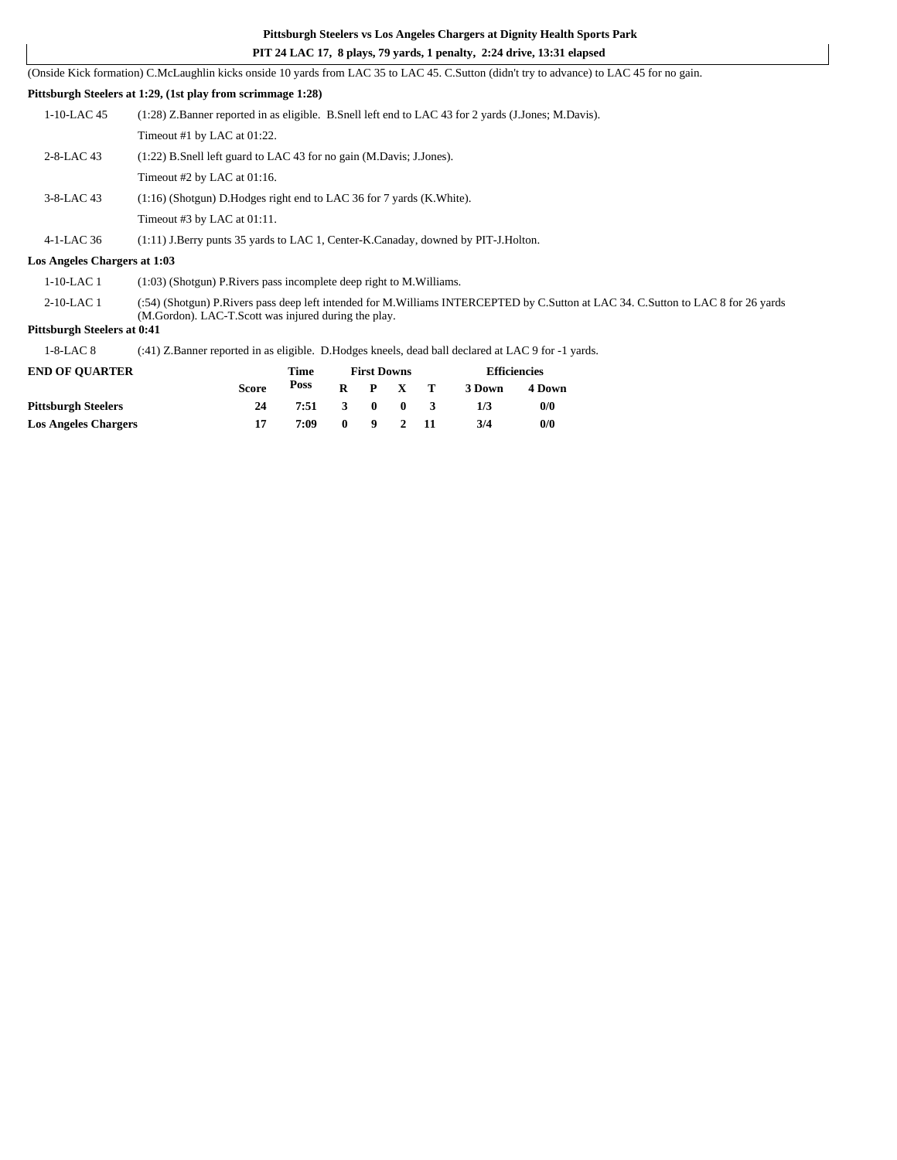### **PIT 24 LAC 17, 8 plays, 79 yards, 1 penalty, 2:24 drive, 13:31 elapsed**

(Onside Kick formation) C.McLaughlin kicks onside 10 yards from LAC 35 to LAC 45. C.Sutton (didn't try to advance) to LAC 45 for no gain.

### **Pittsburgh Steelers at 1:29, (1st play from scrimmage 1:28)**

| $1-10$ -LAC 45 | (1.28) Z.Banner reported in as eligible. B.Snell left end to LAC 43 for 2 yards (J.Jones; M.Davis). |
|----------------|-----------------------------------------------------------------------------------------------------|
|                | Timeout #1 by LAC at 01:22.                                                                         |
| $2-8-LAC$ 43   | $(1:22)$ B. Snell left guard to LAC 43 for no gain (M. Davis; J. Jones).                            |
|                | Timeout #2 by LAC at 01:16.                                                                         |
| $3-8$ -LAC 43  | $(1:16)$ (Shotgun) D. Hodges right end to LAC 36 for 7 yards (K. White).                            |
|                | Timeout #3 by LAC at $01:11$ .                                                                      |
|                |                                                                                                     |

4-1-LAC 36 (1:11) J.Berry punts 35 yards to LAC 1, Center-K.Canaday, downed by PIT-J.Holton.

#### **Los Angeles Chargers at 1:03**

1-10-LAC 1 (1:03) (Shotgun) P.Rivers pass incomplete deep right to M.Williams.

(:54) (Shotgun) P.Rivers pass deep left intended for M.Williams INTERCEPTED by C.Sutton at LAC 34. C.Sutton to LAC 8 for 26 yards (M.Gordon). LAC-T.Scott was injured during the play. 2-10-LAC 1

### **Pittsburgh Steelers at 0:41**

1-8-LAC 8 (:41) Z.Banner reported in as eligible. D.Hodges kneels, dead ball declared at LAC 9 for -1 yards.

| <b>END OF OUARTER</b>       |              | Time |              |                | <b>First Downs</b> | <b>Efficiencies</b> |        |  |
|-----------------------------|--------------|------|--------------|----------------|--------------------|---------------------|--------|--|
|                             | <b>Score</b> | Poss | R            |                | $P \times T$       | 3 Down              | 4 Down |  |
| <b>Pittsburgh Steelers</b>  | 24           | 7:51 | $\mathbf{3}$ | - 0            | - 0                | 1/3                 | 0/0    |  |
| <b>Los Angeles Chargers</b> |              | 7:09 | $\mathbf{0}$ | $\overline{9}$ | $\overline{2}$     | 3/4                 | 0/0    |  |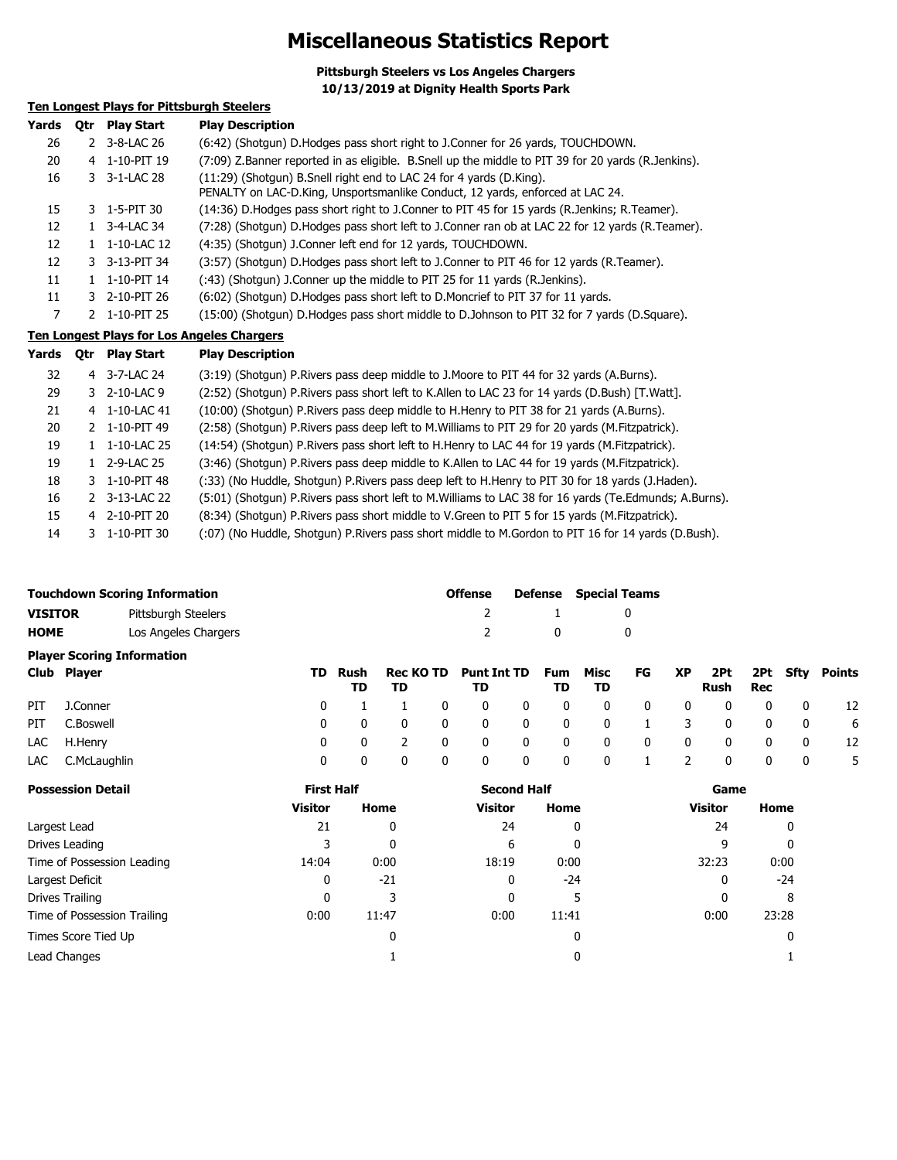# **Miscellaneous Statistics Report**

**Pittsburgh Steelers vs Los Angeles Chargers 10/13/2019 at Dignity Health Sports Park**

|       |                      | <b>Ten Longest Plays for Pittsburgh Steelers</b>                                                                                                      |
|-------|----------------------|-------------------------------------------------------------------------------------------------------------------------------------------------------|
| Yards | Qtr Play Start       | <b>Play Description</b>                                                                                                                               |
| 26    | 2 3-8-LAC 26         | (6:42) (Shotgun) D. Hodges pass short right to J. Conner for 26 yards, TOUCHDOWN.                                                                     |
| 20    | 4 1-10-PIT 19        | (7:09) Z.Banner reported in as eligible. B.Snell up the middle to PIT 39 for 20 yards (R.Jenkins).                                                    |
| 16    | 3 3-1-LAC 28         | (11:29) (Shotgun) B.Snell right end to LAC 24 for 4 yards (D.King).<br>PENALTY on LAC-D. King, Unsportsmanlike Conduct, 12 yards, enforced at LAC 24. |
| 15    | 3 1-5-PIT 30         | (14:36) D.Hodges pass short right to J.Conner to PIT 45 for 15 yards (R.Jenkins; R.Teamer).                                                           |
| 12    | 1 3-4-LAC 34         | (7:28) (Shotgun) D.Hodges pass short left to J.Conner ran ob at LAC 22 for 12 yards (R.Teamer).                                                       |
| 12    | 1 1-10-LAC 12        | (4:35) (Shotgun) J.Conner left end for 12 yards, TOUCHDOWN.                                                                                           |
| 12    | 3 3-13-PIT 34        | (3:57) (Shotgun) D.Hodges pass short left to J.Conner to PIT 46 for 12 yards (R.Teamer).                                                              |
| 11    | 1 1-10-PIT 14        | (:43) (Shotgun) J.Conner up the middle to PIT 25 for 11 yards (R.Jenkins).                                                                            |
| 11    | 3 2-10-PIT 26        | (6:02) (Shotgun) D.Hodges pass short left to D.Moncrief to PIT 37 for 11 yards.                                                                       |
| 7     | 2 1-10-PIT 25        | (15:00) (Shotgun) D.Hodges pass short middle to D.Johnson to PIT 32 for 7 yards (D.Square).                                                           |
|       |                      | <b>Ten Longest Plays for Los Angeles Chargers</b>                                                                                                     |
|       | Yards Qtr Play Start | <b>Play Description</b>                                                                                                                               |
| 32    | 4 3-7-LAC 24         | (3:19) (Shotgun) P.Rivers pass deep middle to J.Moore to PIT 44 for 32 yards (A.Burns).                                                               |
| 29    | 3 2-10-LAC 9         | (2:52) (Shotgun) P.Rivers pass short left to K.Allen to LAC 23 for 14 yards (D.Bush) [T.Watt].                                                        |
| 21    | 4 1-10-LAC 41        | (10:00) (Shotgun) P.Rivers pass deep middle to H.Henry to PIT 38 for 21 yards (A.Burns).                                                              |
| 20    | 2 1-10-PIT 49        | (2:58) (Shotgun) P.Rivers pass deep left to M.Williams to PIT 29 for 20 yards (M.Fitzpatrick).                                                        |
| 19    | 1 1-10-LAC 25        | (14:54) (Shotgun) P.Rivers pass short left to H.Henry to LAC 44 for 19 yards (M.Fitzpatrick).                                                         |

| 19 | 1 2-9-LAC 25  | (3:46) (Shotgun) P.Rivers pass deep middle to K.Allen to LAC 44 for 19 yards (M.Fitzpatrick).             |
|----|---------------|-----------------------------------------------------------------------------------------------------------|
| 18 | 3 1-10-PIT 48 | (:33) (No Huddle, Shotgun) P.Rivers pass deep left to H.Henry to PIT 30 for 18 yards (J.Haden).           |
| 16 | 2 3-13-LAC 22 | (5:01) (Shotgun) P. Rivers pass short left to M. Williams to LAC 38 for 16 yards (Te. Edmunds; A. Burns). |
| 15 | 4 2-10-PIT 20 | (8:34) (Shotqun) P.Rivers pass short middle to V.Green to PIT 5 for 15 yards (M.Fitzpatrick).             |
|    |               |                                                                                                           |

|  | 14 3 1-10-PIT 30 |  | (0.07) (No Huddle, Shotgun) P.Rivers pass short middle to M.Gordon to PIT 16 for 14 yards (D.Bush). |  |  |  |
|--|------------------|--|-----------------------------------------------------------------------------------------------------|--|--|--|
|  |                  |  |                                                                                                     |  |  |  |

|                                   | <b>Touchdown Scoring Information</b> | <b>Offense</b> |              | <b>Defense</b> Special Teams |  |  |
|-----------------------------------|--------------------------------------|----------------|--------------|------------------------------|--|--|
| <b>VISITOR</b>                    | Pittsburgh Steelers                  |                | $\mathbf{I}$ |                              |  |  |
| HOME<br>Los Angeles Chargers      |                                      |                | n            |                              |  |  |
| <b>Player Scoring Information</b> |                                      |                |              |                              |  |  |

| . .<br>Club Player |          | TD.          | TD             |                | TD Rush Rec KOTD Punt Int TD Fum Misc FG XP 2Pt 2Pt Sfty Points<br>TD |                         | TD.                     | TD.                     |                         |              | Rush Rec                                           |                         |                         |     |
|--------------------|----------|--------------|----------------|----------------|-----------------------------------------------------------------------|-------------------------|-------------------------|-------------------------|-------------------------|--------------|----------------------------------------------------|-------------------------|-------------------------|-----|
| PIT J.Conner       |          | $0\qquad 1$  | $\sim$ 1       |                | $0\qquad 0\qquad 0\qquad 0$                                           |                         |                         | $\overline{\mathbf{0}}$ | $\overline{\mathbf{0}}$ | $\mathbf{0}$ | $\begin{array}{ccc} & & 0 & \quad & 0 \end{array}$ |                         | $\overline{\mathbf{0}}$ | 12  |
| PIT C.Boswell      | $\Omega$ | $\mathbf{0}$ | $\overline{0}$ | 0              | $\begin{array}{ccc} & & 0 & \quad & 0 \end{array}$                    |                         | $\overline{\mathbf{0}}$ | $0 \quad 1 \quad 3$     |                         |              | $\overline{\mathbf{0}}$                            | $\overline{\mathbf{0}}$ | $\overline{0}$          | 6   |
| LAC H.Henry        | $\Omega$ | $\mathbf{0}$ | $\overline{2}$ | $\overline{0}$ | $\Omega$                                                              | $\overline{\mathbf{0}}$ | $\overline{\mathbf{0}}$ | $\overline{0}$          | $\overline{0}$          | $\mathbf{0}$ | $\mathbf{0}$                                       | $\overline{\mathbf{0}}$ | $\overline{\mathbf{0}}$ | 12  |
| LAC C.McLaughlin   | $\Omega$ | $\Omega$     | $\overline{0}$ | 0              |                                                                       |                         |                         | 0 0 0 0 1 2             |                         |              |                                                    | $0\qquad 0$             | $\overline{\mathbf{0}}$ | - 5 |

| <b>Possession Detail</b>    | <b>First Half</b> |       | <b>Second Half</b> |       | Game           |       |  |
|-----------------------------|-------------------|-------|--------------------|-------|----------------|-------|--|
|                             | <b>Visitor</b>    | Home  | Visitor            | Home  | <b>Visitor</b> | Home  |  |
| Largest Lead                | 21                | 0     | 24                 | 0     | 24             | 0     |  |
| Drives Leading              |                   | 0     | 6                  | 0     |                | 0     |  |
| Time of Possession Leading  | 14:04             | 0:00  | 18:19              | 0:00  | 32:23          | 0:00  |  |
| Largest Deficit             |                   | $-21$ | 0                  | $-24$ |                | $-24$ |  |
| Drives Trailing             |                   |       | 0                  | 5     |                | 8     |  |
| Time of Possession Trailing | 0:00              | 11:47 | 0:00               | 11:41 | 0:00           | 23:28 |  |
| Times Score Tied Up         |                   | 0     |                    | 0     |                | 0     |  |
| Lead Changes                |                   |       |                    | 0     |                |       |  |